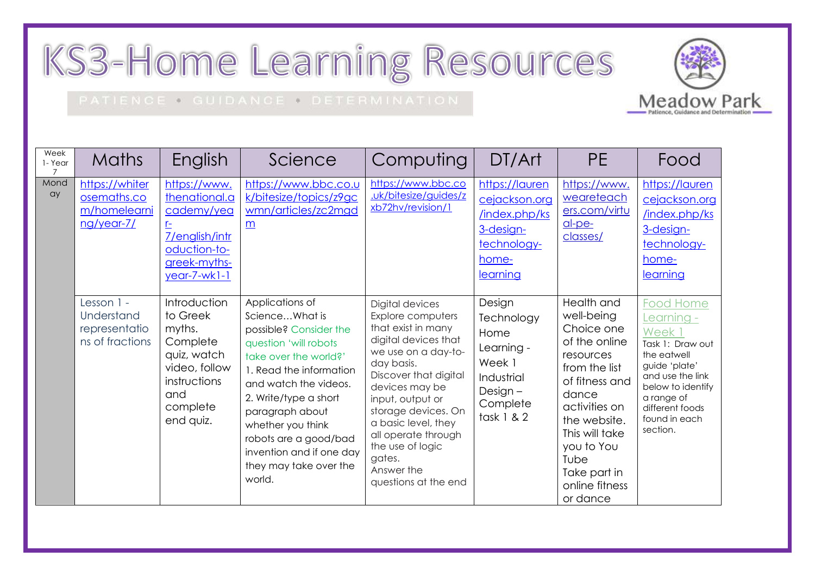# KS3-Home Learning Resources

## PATIENCE . GUIDANCE . DETERMINATION

| Week<br>1-Year | <b>Maths</b>                                                  | English                                                                                                                        | Science                                                                                                                                                                                                                                                                                                                     | Computing                                                                                                                                                                                                                                                                                                                              | DT/Art                                                                                                    | <b>PE</b>                                                                                                                                                                                                                               | Food                                                                                                                                                                                                |
|----------------|---------------------------------------------------------------|--------------------------------------------------------------------------------------------------------------------------------|-----------------------------------------------------------------------------------------------------------------------------------------------------------------------------------------------------------------------------------------------------------------------------------------------------------------------------|----------------------------------------------------------------------------------------------------------------------------------------------------------------------------------------------------------------------------------------------------------------------------------------------------------------------------------------|-----------------------------------------------------------------------------------------------------------|-----------------------------------------------------------------------------------------------------------------------------------------------------------------------------------------------------------------------------------------|-----------------------------------------------------------------------------------------------------------------------------------------------------------------------------------------------------|
| Mond<br>ay     | https://whiter<br>osemaths.co<br>m/homelearni<br>$ng/year-7/$ | https://www.<br>thenational.a<br>cademy/yea<br>r-<br>7/english/intr<br>oduction-to-<br>greek-myths-<br>$year-7-wk1-1$          | https://www.bbc.co.u<br>k/bitesize/topics/z9gc<br>wmn/articles/zc2mgd<br>m                                                                                                                                                                                                                                                  | https://www.bbc.co<br>.uk/bitesize/guides/z<br>xb72hv/revision/1                                                                                                                                                                                                                                                                       | https://lauren<br>cejackson.org<br>/index.php/ks<br>3-design-<br>technology-<br>home-<br>learning         | https://www.<br>weareteach<br>ers.com/virtu<br>al-pe-<br>classes/                                                                                                                                                                       | https://lauren<br>cejackson.org<br>/index.php/ks<br>3-design-<br>technology-<br>home-<br>learning                                                                                                   |
|                | Lesson 1 -<br>Understand<br>representatio<br>ns of fractions  | Introduction<br>to Greek<br>myths.<br>Complete<br>quiz, watch<br>video, follow<br>instructions<br>and<br>complete<br>end quiz. | Applications of<br>ScienceWhat is<br>possible? Consider the<br>question 'will robots<br>take over the world?'<br>1. Read the information<br>and watch the videos.<br>2. Write/type a short<br>paragraph about<br>whether you think<br>robots are a good/bad<br>invention and if one day<br>they may take over the<br>world. | Digital devices<br><b>Explore computers</b><br>that exist in many<br>digital devices that<br>we use on a day-to-<br>day basis.<br>Discover that digital<br>devices may be<br>input, output or<br>storage devices. On<br>a basic level, they<br>all operate through<br>the use of logic<br>gates.<br>Answer the<br>questions at the end | Design<br>Technology<br>Home<br>Learning -<br>Week 1<br>Industrial<br>Design-<br>Complete<br>task $1 & 2$ | Health and<br>well-being<br>Choice one<br>of the online<br>resources<br>from the list<br>of fitness and<br>dance<br>activities on<br>the website.<br>This will take<br>you to You<br>Tube<br>Take part in<br>online fitness<br>or dance | <b>Food Home</b><br>Learning -<br>Week 1<br>Task 1: Draw out<br>the eatwell<br>guide 'plate'<br>and use the link<br>below to identify<br>a range of<br>different foods<br>found in each<br>section. |

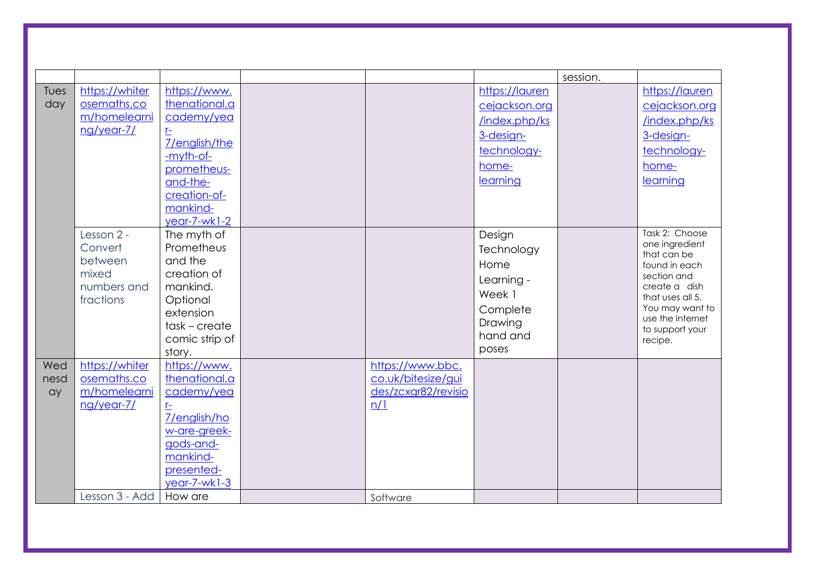|      |                |                          |                     |                | session. |                                   |
|------|----------------|--------------------------|---------------------|----------------|----------|-----------------------------------|
| Tues | https://whiter | https://www.             |                     | https://lauren |          | https://lauren                    |
| day  | osemaths.co    | thenational.a            |                     | cejackson.org  |          | cejackson.org                     |
|      | m/homelearni   | cademy/yea               |                     | /index.php/ks  |          | /index.php/ks                     |
|      | ng/year-7/     | r <sub>1</sub>           |                     | 3-design-      |          | 3-design-                         |
|      |                | 7/english/the            |                     | technology-    |          | technology-                       |
|      |                | -myth-of-<br>prometheus- |                     | home-          |          | home-                             |
|      |                | and-the-                 |                     | learning       |          | learning                          |
|      |                | creation-of-             |                     |                |          |                                   |
|      |                | mankind-                 |                     |                |          |                                   |
|      |                | year-7-wk1-2             |                     |                |          |                                   |
|      | Lesson 2 -     | The myth of              |                     | Design         |          | Task 2: Choose                    |
|      | Convert        | Prometheus               |                     | Technology     |          | one ingredient<br>that can be     |
|      | between        | and the                  |                     | Home           |          | found in each                     |
|      | mixed          | creation of              |                     | Learning -     |          | section and                       |
|      | numbers and    | mankind.                 |                     | Week 1         |          | create a dish<br>that uses all 5. |
|      | fractions      | Optional<br>extension    |                     | Complete       |          | You may want to                   |
|      |                | $task - create$          |                     | Drawing        |          | use the internet                  |
|      |                | comic strip of           |                     | hand and       |          | to support your<br>recipe.        |
|      |                | story.                   |                     | poses          |          |                                   |
| Wed  | https://whiter | https://www.             | https://www.bbc.    |                |          |                                   |
| nesd | osemaths.co    | thenational.a            | co.uk/bitesize/gui  |                |          |                                   |
| ay   | m/homelearni   | cademy/yea               | des/zcxgr82/revisio |                |          |                                   |
|      | ng/year-7/     | r <sub>1</sub>           | n/1                 |                |          |                                   |
|      |                | 7/english/ho             |                     |                |          |                                   |
|      |                | w-are-greek-             |                     |                |          |                                   |
|      |                | gods-and-<br>mankind-    |                     |                |          |                                   |
|      |                | presented-               |                     |                |          |                                   |
|      |                | year-7-wk1-3             |                     |                |          |                                   |
|      | Lesson 3 - Add | How are                  | Software            |                |          |                                   |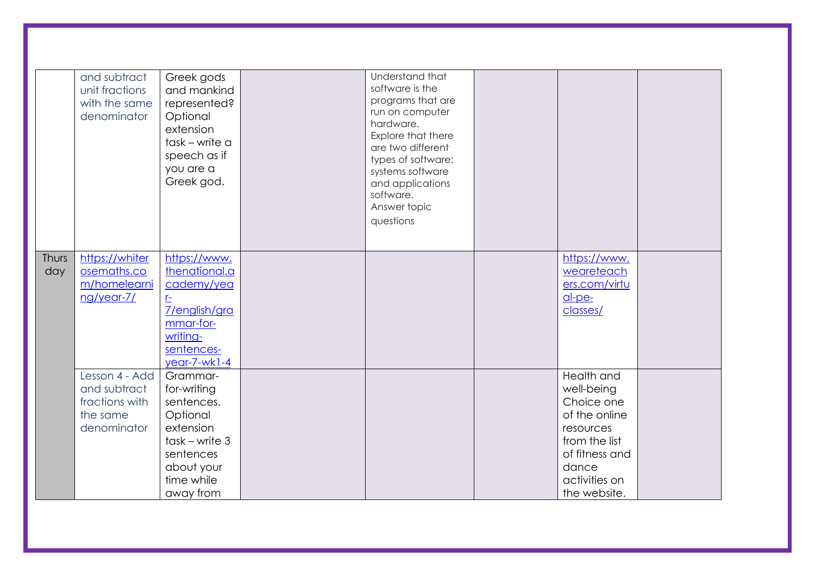|              | and subtract<br>unit fractions<br>with the same<br>denominator              | Greek gods<br>and mankind<br>represented?<br>Optional<br>extension<br>task – write a<br>speech as if<br>you are a<br>Greek god.          | Understand that<br>software is the<br>programs that are<br>run on computer<br>hardware.<br>Explore that there<br>are two different<br>types of software:<br>systems software<br>and applications<br>software.<br>Answer topic<br>questions |                                                                                                                                                   |  |
|--------------|-----------------------------------------------------------------------------|------------------------------------------------------------------------------------------------------------------------------------------|--------------------------------------------------------------------------------------------------------------------------------------------------------------------------------------------------------------------------------------------|---------------------------------------------------------------------------------------------------------------------------------------------------|--|
| Thurs<br>day | https://whiter<br>osemaths.co<br>m/homelearni<br>ng/year-7/                 | https://www.<br>thenational.a<br>cademy/yea<br>$r-$<br>7/english/gra<br>mmar-for-<br>writing-<br>sentences-<br>$year-7-wk1-4$            |                                                                                                                                                                                                                                            | https://www.<br>weareteach<br>ers.com/virtu<br>$al$ -pe-<br>classes/                                                                              |  |
|              | Lesson 4 - Add<br>and subtract<br>fractions with<br>the same<br>denominator | Grammar-<br>for-writing<br>sentences.<br>Optional<br>extension<br>$task - write 3$<br>sentences<br>about your<br>time while<br>away from |                                                                                                                                                                                                                                            | Health and<br>well-being<br>Choice one<br>of the online<br>resources<br>from the list<br>of fitness and<br>dance<br>activities on<br>the website. |  |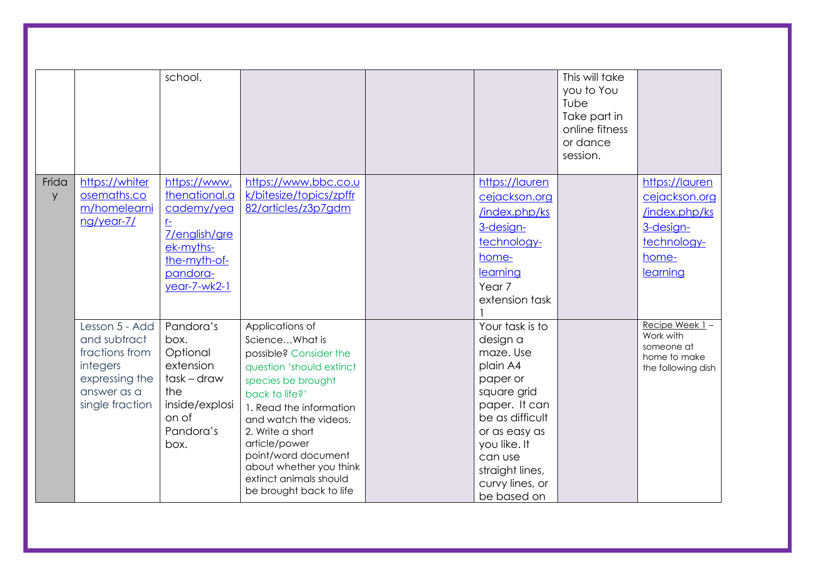|            |                                                                                                                  | school.                                                                                                                       |                                                                                                                                                                                                                                                                                                                                 |                                                                                                                                                                                                                      | This will take<br>you to You<br>Tube<br>Take part in<br>online fitness<br>or dance<br>session. |                                                                                                   |
|------------|------------------------------------------------------------------------------------------------------------------|-------------------------------------------------------------------------------------------------------------------------------|---------------------------------------------------------------------------------------------------------------------------------------------------------------------------------------------------------------------------------------------------------------------------------------------------------------------------------|----------------------------------------------------------------------------------------------------------------------------------------------------------------------------------------------------------------------|------------------------------------------------------------------------------------------------|---------------------------------------------------------------------------------------------------|
| Frida<br>y | https://whiter<br>osemaths.co<br>m/homelearni<br>ng/year-7/                                                      | https://www.<br>thenational.a<br>cademy/yea<br>$r-$<br>7/english/gre<br>ek-myths-<br>the-myth-of-<br>pandora-<br>year-7-wk2-1 | https://www.bbc.co.u<br>k/bitesize/topics/zpffr<br>82/articles/z3p7gdm                                                                                                                                                                                                                                                          | https://lauren<br>cejackson.org<br>/index.php/ks<br>3-design-<br>technology-<br>home-<br>learning<br>Year <sub>7</sub><br>extension task                                                                             |                                                                                                | https://lauren<br>cejackson.org<br>/index.php/ks<br>3-design-<br>technology-<br>home-<br>learning |
|            | Lesson 5 - Add<br>and subtract<br>fractions from<br>integers<br>expressing the<br>answer as a<br>single fraction | Pandora's<br>box.<br>Optional<br>extension<br>task – draw<br>the<br>inside/explosi<br>on of<br>Pandora's<br>box.              | Applications of<br>ScienceWhat is<br>possible? Consider the<br>question 'should extinct<br>species be brought<br>back to life?'<br>1. Read the information<br>and watch the videos.<br>2. Write a short<br>article/power<br>point/word document<br>about whether you think<br>extinct animals should<br>be brought back to life | Your task is to<br>design a<br>maze. Use<br>plain A4<br>paper or<br>square grid<br>paper. It can<br>be as difficult<br>or as easy as<br>you like. It<br>can use<br>straight lines,<br>curvy lines, or<br>be based on |                                                                                                | Recipe Week 1-<br>Work with<br>someone at<br>home to make<br>the following dish                   |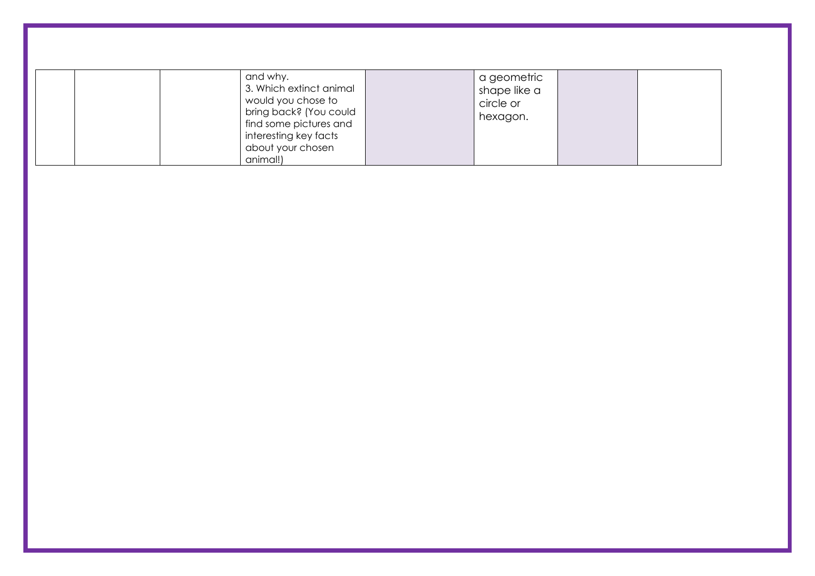|  | and why.<br>3. Which extinct animal<br>would you chose to<br>bring back? (You could<br>find some pictures and<br>interesting key facts<br>about your chosen<br>animal!) |  | a geometric<br>shape like a<br>circle or<br>hexagon. |  |  |
|--|-------------------------------------------------------------------------------------------------------------------------------------------------------------------------|--|------------------------------------------------------|--|--|
|--|-------------------------------------------------------------------------------------------------------------------------------------------------------------------------|--|------------------------------------------------------|--|--|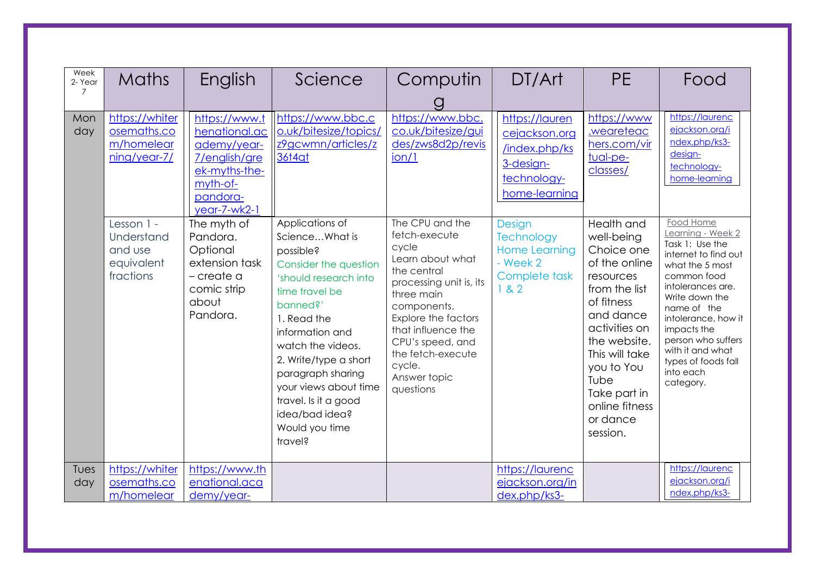| Week<br>2-Year<br>7 | <b>Maths</b>                                                   | English                                                                                                                 | Science                                                                                                                                                                                                                                                                                                                             | Computin                                                                                                                                                                                                                                                                 | DT/Art                                                                                        | <b>PE</b>                                                                                                                                                                                                                                           | Food                                                                                                                                                                                                                                                                                               |
|---------------------|----------------------------------------------------------------|-------------------------------------------------------------------------------------------------------------------------|-------------------------------------------------------------------------------------------------------------------------------------------------------------------------------------------------------------------------------------------------------------------------------------------------------------------------------------|--------------------------------------------------------------------------------------------------------------------------------------------------------------------------------------------------------------------------------------------------------------------------|-----------------------------------------------------------------------------------------------|-----------------------------------------------------------------------------------------------------------------------------------------------------------------------------------------------------------------------------------------------------|----------------------------------------------------------------------------------------------------------------------------------------------------------------------------------------------------------------------------------------------------------------------------------------------------|
| Mon<br>day          | https://whiter<br>osemaths.co<br>m/homelear<br>ning/year-7/    | https://www.t<br>henational.ac<br>ademy/year-<br>7/english/gre<br>ek-myths-the-<br>myth-of-<br>pandora-<br>year-7-wk2-1 | https://www.bbc.c<br>o.uk/bitesize/topics/<br>z9gcwmn/articles/z<br>36t4qt                                                                                                                                                                                                                                                          | https://www.bbc.<br>co.uk/bitesize/gui<br>des/zws8d2p/revis<br>ion/1                                                                                                                                                                                                     | https://lauren<br>cejackson.org<br>/index.php/ks<br>3-design-<br>technology-<br>home-learning | https://www<br>weareteac.<br>hers.com/vir<br>tual-pe-<br>classes/                                                                                                                                                                                   | https://laurenc<br>ejackson.org/i<br>ndex.php/ks3-<br>design-<br>technology-<br>home-learning                                                                                                                                                                                                      |
|                     | Lesson 1 -<br>Understand<br>and use<br>equivalent<br>fractions | The myth of<br>Pandora.<br>Optional<br>extension task<br>- create a<br>comic strip<br>about<br>Pandora.                 | Applications of<br>ScienceWhat is<br>possible?<br>Consider the question<br>'should research into<br>time travel be<br>banned?'<br>1. Read the<br>information and<br>watch the videos.<br>2. Write/type a short<br>paragraph sharing<br>your views about time<br>travel. Is it a good<br>idea/bad idea?<br>Would you time<br>travel? | The CPU and the<br>fetch-execute<br>cycle<br>Learn about what<br>the central<br>processing unit is, its<br>three main<br>components.<br><b>Explore the factors</b><br>that influence the<br>CPU's speed, and<br>the fetch-execute<br>cycle.<br>Answer topic<br>questions | Design<br><b>Technology</b><br><b>Home Learning</b><br>- Week 2<br>Complete task<br>1 & 2     | Health and<br>well-being<br>Choice one<br>of the online<br>resources<br>from the list<br>of fitness<br>and dance<br>activities on<br>the website.<br>This will take<br>you to You<br>Tube<br>Take part in<br>online fitness<br>or dance<br>session. | Food Home<br>Learning - Week 2<br>Task 1: Use the<br>internet to find out<br>what the 5 most<br>common food<br>intolerances are.<br>Write down the<br>name of the<br>intolerance, how it<br>impacts the<br>person who suffers<br>with it and what<br>types of foods fall<br>into each<br>category. |
| Tues<br>day         | https://whiter<br>osemaths.co<br>m/homelear                    | https://www.th<br>enational.aca<br>demy/year-                                                                           |                                                                                                                                                                                                                                                                                                                                     |                                                                                                                                                                                                                                                                          | https://laurenc<br>ejackson.org/in<br>dex.php/ks3-                                            |                                                                                                                                                                                                                                                     | https://laurenc<br>ejackson.org/i<br>ndex.php/ks3-                                                                                                                                                                                                                                                 |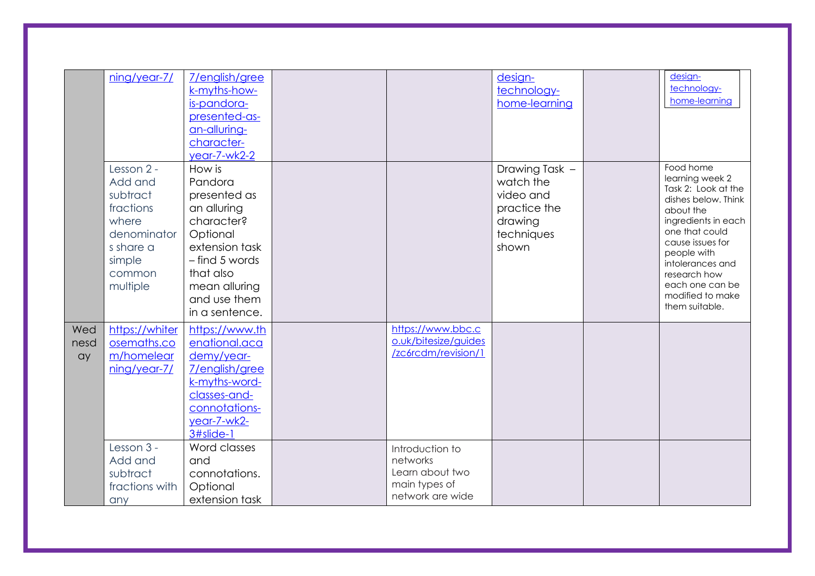|                   | ning/year-7/                                                                                                        | 7/english/gree<br>k-myths-how-<br>is-pandora-<br>presented-as-<br>an-alluring-<br>character-<br>year-7-wk2-2                                                                     |                                                                                     | design-<br>technology-<br>home-learning                                                    | design-<br>technology-<br>home-learning                                                                                                                                                                                                                          |
|-------------------|---------------------------------------------------------------------------------------------------------------------|----------------------------------------------------------------------------------------------------------------------------------------------------------------------------------|-------------------------------------------------------------------------------------|--------------------------------------------------------------------------------------------|------------------------------------------------------------------------------------------------------------------------------------------------------------------------------------------------------------------------------------------------------------------|
|                   | Lesson 2 -<br>Add and<br>subtract<br>fractions<br>where<br>denominator<br>s share a<br>simple<br>common<br>multiple | How is<br>Pandora<br>presented as<br>an alluring<br>character?<br>Optional<br>extension task<br>$-$ find 5 words<br>that also<br>mean alluring<br>and use them<br>in a sentence. |                                                                                     | Drawing Task -<br>watch the<br>video and<br>practice the<br>drawing<br>techniques<br>shown | Food home<br>learning week 2<br>Task 2: Look at the<br>dishes below. Think<br>about the<br>ingredients in each<br>one that could<br>cause issues for<br>people with<br>intolerances and<br>research how<br>each one can be<br>modified to make<br>them suitable. |
| Wed<br>nesd<br>ay | https://whiter<br>osemaths.co<br>m/homelear<br>ning/year-7/                                                         | https://www.th<br>enational.aca<br>demy/year-<br>7/english/gree<br>k-myths-word-<br>classes-and-<br>connotations-<br>year-7-wk2-<br>3#slide-1                                    | https://www.bbc.c<br>o.uk/bitesize/guides<br>/zc6rcdm/revision/1                    |                                                                                            |                                                                                                                                                                                                                                                                  |
|                   | Lesson 3 -<br>Add and<br>subtract<br>fractions with<br>any                                                          | Word classes<br>and<br>connotations.<br>Optional<br>extension task                                                                                                               | Introduction to<br>networks<br>Learn about two<br>main types of<br>network are wide |                                                                                            |                                                                                                                                                                                                                                                                  |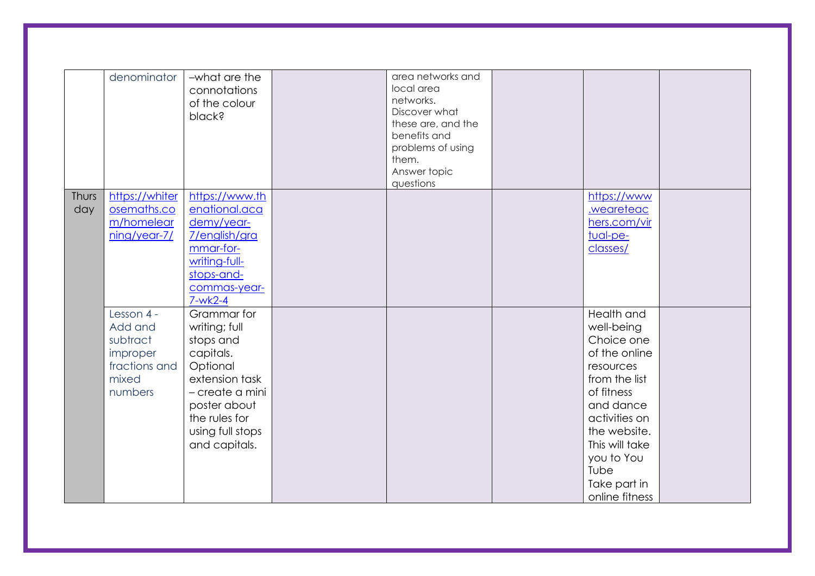|              | denominator                                                                        | -what are the<br>connotations<br>of the colour<br>black?                                                                                                                      | area networks and<br>local area<br>networks.<br>Discover what<br>these are, and the<br>benefits and<br>problems of using<br>them.<br>Answer topic<br>questions |                                                                                                                                                                                                                             |  |
|--------------|------------------------------------------------------------------------------------|-------------------------------------------------------------------------------------------------------------------------------------------------------------------------------|----------------------------------------------------------------------------------------------------------------------------------------------------------------|-----------------------------------------------------------------------------------------------------------------------------------------------------------------------------------------------------------------------------|--|
| Thurs<br>day | https://whiter<br>osemaths.co<br>m/homelear<br>ning/year-7/                        | https://www.th<br>enational.aca<br>demy/year-<br>7/english/gra<br>mmar-for-<br>writing-full-<br>stops-and-<br>commas-year-<br>$7-wk2-4$                                       |                                                                                                                                                                | https://www<br>weareteac<br>hers.com/vir<br>tual-pe-<br>classes/                                                                                                                                                            |  |
|              | Lesson 4 -<br>Add and<br>subtract<br>improper<br>fractions and<br>mixed<br>numbers | Grammar for<br>writing; full<br>stops and<br>capitals.<br>Optional<br>extension task<br>- create a mini<br>poster about<br>the rules for<br>using full stops<br>and capitals. |                                                                                                                                                                | Health and<br>well-being<br>Choice one<br>of the online<br>resources<br>from the list<br>of fitness<br>and dance<br>activities on<br>the website.<br>This will take<br>you to You<br>Tube<br>Take part in<br>online fitness |  |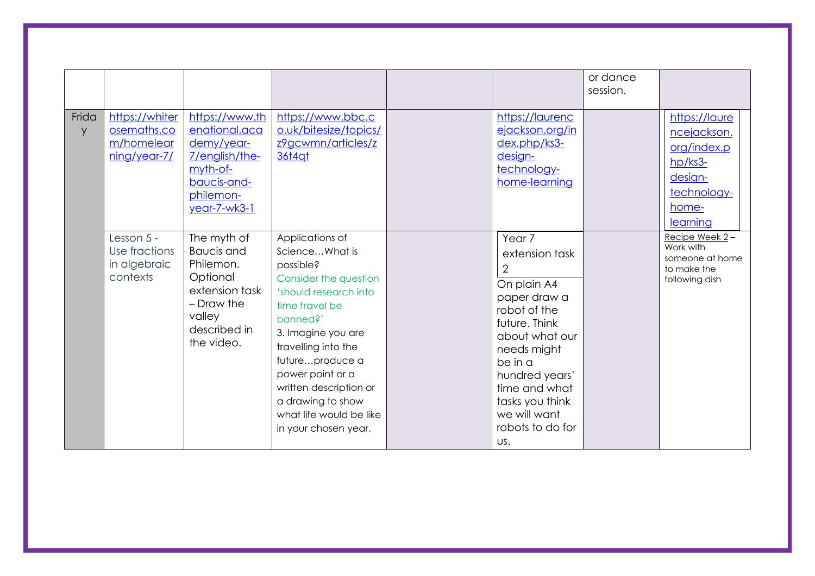|            |                                                             |                                                                                                                                   |                                                                                                                                                                                                                                                                                                                      |                                                                                                                                                                                                                                                       | or dance<br>session. |                                                                                                         |
|------------|-------------------------------------------------------------|-----------------------------------------------------------------------------------------------------------------------------------|----------------------------------------------------------------------------------------------------------------------------------------------------------------------------------------------------------------------------------------------------------------------------------------------------------------------|-------------------------------------------------------------------------------------------------------------------------------------------------------------------------------------------------------------------------------------------------------|----------------------|---------------------------------------------------------------------------------------------------------|
| Frida<br>y | https://whiter<br>osemaths.co<br>m/homelear<br>ning/year-7/ | https://www.th<br>enational.aca<br>demy/year-<br>7/english/the-<br>myth-of-<br>baucis-and-<br>philemon-<br>$year-7-wk3-1$         | https://www.bbc.c<br>o.uk/bitesize/topics/<br>z9gcwmn/articles/z<br>36t4qt                                                                                                                                                                                                                                           | https://laurenc<br>ejackson.org/in<br>dex.php/ks3-<br>design-<br>technology-<br>home-learning                                                                                                                                                         |                      | https://laure<br>ncejackson.<br>org/index.p<br>$hp/kg3-$<br>design-<br>technology-<br>home-<br>learning |
|            | Lesson 5 -<br>Use fractions<br>in algebraic<br>contexts     | The myth of<br><b>Baucis</b> and<br>Philemon.<br>Optional<br>extension task<br>- Draw the<br>valley<br>described in<br>the video. | Applications of<br>ScienceWhat is<br>possible?<br>Consider the question<br>'should research into<br>time travel be<br>banned?'<br>3. Imagine you are<br>travelling into the<br>futureproduce a<br>power point or a<br>written description or<br>a drawing to show<br>what life would be like<br>in your chosen year. | Year <sub>7</sub><br>extension task<br>2<br>On plain A4<br>paper draw a<br>robot of the<br>future. Think<br>about what our<br>needs might<br>be in a<br>hundred years'<br>time and what<br>tasks you think<br>we will want<br>robots to do for<br>US. |                      | Recipe Week 2-<br>Work with<br>someone at home<br>to make the<br>following dish                         |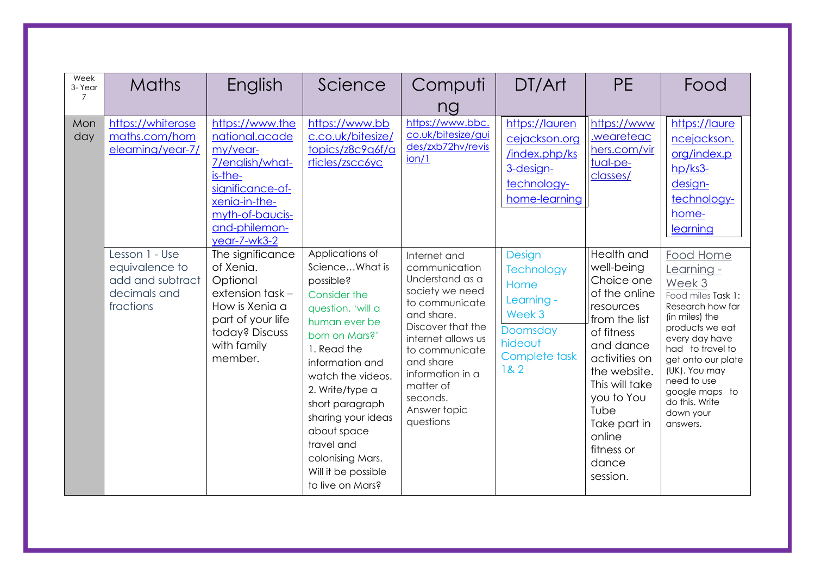| Week<br>3-Year<br>7 | <b>Maths</b>                                                                      | English                                                                                                                                                              | Science                                                                                                                                                                                                                                                                                                                               | Computi<br>ng                                                                                                                                                                                                                                           | DT/Art                                                                                                      | <b>PE</b>                                                                                                                                                                                                                                              | Food                                                                                                                                                                                                                                                                      |
|---------------------|-----------------------------------------------------------------------------------|----------------------------------------------------------------------------------------------------------------------------------------------------------------------|---------------------------------------------------------------------------------------------------------------------------------------------------------------------------------------------------------------------------------------------------------------------------------------------------------------------------------------|---------------------------------------------------------------------------------------------------------------------------------------------------------------------------------------------------------------------------------------------------------|-------------------------------------------------------------------------------------------------------------|--------------------------------------------------------------------------------------------------------------------------------------------------------------------------------------------------------------------------------------------------------|---------------------------------------------------------------------------------------------------------------------------------------------------------------------------------------------------------------------------------------------------------------------------|
| Mon<br>day          | https://whiterose<br>maths.com/hom<br>elearning/year-7/                           | https://www.the<br>national.acade<br>my/year-<br>7/english/what-<br>is-the-<br>significance-of-<br>xenia-in-the-<br>myth-of-baucis-<br>and-philemon-<br>year-7-wk3-2 | https://www.bb<br>c.co.uk/bitesize/<br>topics/z8c9q6f/a<br>rticles/zscc6yc                                                                                                                                                                                                                                                            | https://www.bbc.<br>co.uk/bitesize/gui<br>des/zxb72hv/revis<br>ion/1                                                                                                                                                                                    | https://lauren<br>cejackson.org<br>/index.php/ks<br>3-design-<br>technology-<br>home-learning               | https://www<br>weareteac.<br>hers.com/vir<br>tual-pe-<br>classes/                                                                                                                                                                                      | https://laure<br>ncejackson.<br>org/index.p<br>hp/ks3-<br>design-<br>technology-<br>home-<br>learning                                                                                                                                                                     |
|                     | Lesson 1 - Use<br>equivalence to<br>add and subtract<br>decimals and<br>fractions | The significance<br>of Xenia.<br>Optional<br>extension task -<br>How is Xenia a<br>part of your life<br>today? Discuss<br>with family<br>member.                     | Applications of<br>ScienceWhat is<br>possible?<br>Consider the<br>question, 'will a<br>human ever be<br>born on Mars?'<br>1. Read the<br>information and<br>watch the videos.<br>2. Write/type a<br>short paragraph<br>sharing your ideas<br>about space<br>travel and<br>colonising Mars.<br>Will it be possible<br>to live on Mars? | Internet and<br>communication<br>Understand as a<br>society we need<br>to communicate<br>and share.<br>Discover that the<br>internet allows us<br>to communicate<br>and share<br>information in a<br>matter of<br>seconds.<br>Answer topic<br>questions | Design<br><b>Technology</b><br>Home<br>Learning -<br>Week 3<br>Doomsday<br>hideout<br>Complete task<br>18.2 | Health and<br>well-being<br>Choice one<br>of the online<br>resources<br>from the list<br>of fitness<br>and dance<br>activities on<br>the website.<br>This will take<br>you to You<br>Tube<br>Take part in<br>online<br>fitness or<br>dance<br>session. | Food Home<br>Learning -<br>Week 3<br>Food miles Task 1:<br>Research how far<br>(in miles) the<br>products we eat<br>every day have<br>had to travel to<br>get onto our plate<br>(UK). You may<br>need to use<br>google maps to<br>do this. Write<br>down your<br>answers. |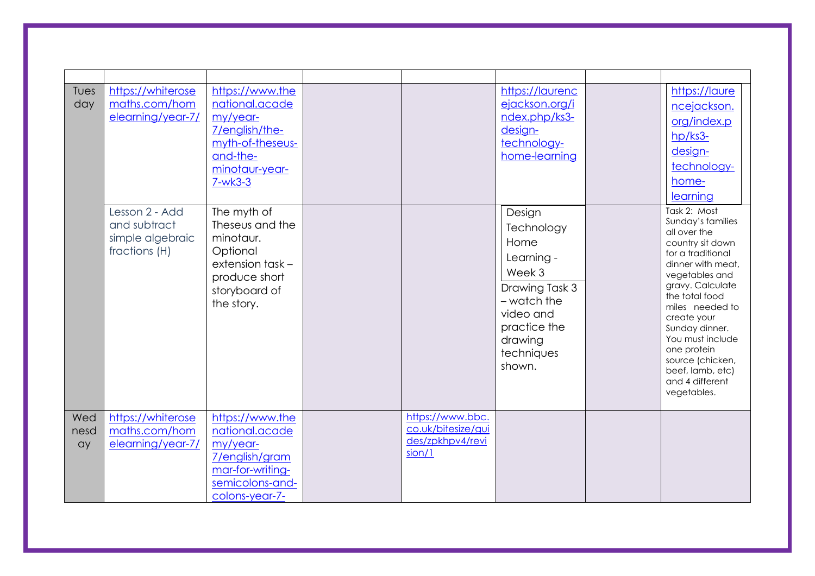| Tues<br>day       | https://whiterose<br>maths.com/hom<br>elearning/year-7/             | https://www.the<br>national.acade<br>my/year-<br>7/english/the-<br>myth-of-theseus-<br>and-the-<br>minotaur-year-<br>$7-wk3-3$ |                                                                      | https://laurenc<br>ejackson.org/i<br>ndex.php/ks3-<br>design-<br>technology-<br>home-learning                                                         | https://laure<br>ncejackson.<br>org/index.p<br>$hp/kg3-$<br>design-<br>technology-<br>home-<br>learning                                                                                                                                                                                                                                  |
|-------------------|---------------------------------------------------------------------|--------------------------------------------------------------------------------------------------------------------------------|----------------------------------------------------------------------|-------------------------------------------------------------------------------------------------------------------------------------------------------|------------------------------------------------------------------------------------------------------------------------------------------------------------------------------------------------------------------------------------------------------------------------------------------------------------------------------------------|
|                   | Lesson 2 - Add<br>and subtract<br>simple algebraic<br>fractions (H) | The myth of<br>Theseus and the<br>minotaur.<br>Optional<br>extension task-<br>produce short<br>storyboard of<br>the story.     |                                                                      | Design<br>Technology<br>Home<br>Learning -<br>Week 3<br>Drawing Task 3<br>- watch the<br>video and<br>practice the<br>drawing<br>techniques<br>shown. | Task 2: Most<br>Sunday's families<br>all over the<br>country sit down<br>for a traditional<br>dinner with meat,<br>vegetables and<br>gravy. Calculate<br>the total food<br>miles needed to<br>create your<br>Sunday dinner.<br>You must include<br>one protein<br>source (chicken,<br>beef, lamb, etc)<br>and 4 different<br>vegetables. |
| Wed<br>nesd<br>ay | https://whiterose<br>maths.com/hom<br>elearning/year-7/             | https://www.the<br>national.acade<br>my/year-<br>7/english/gram<br>mar-for-writing-<br>semicolons-and-<br>colons-year-7-       | https://www.bbc.<br>co.uk/bitesize/gui<br>des/zpkhpv4/revi<br>sion/1 |                                                                                                                                                       |                                                                                                                                                                                                                                                                                                                                          |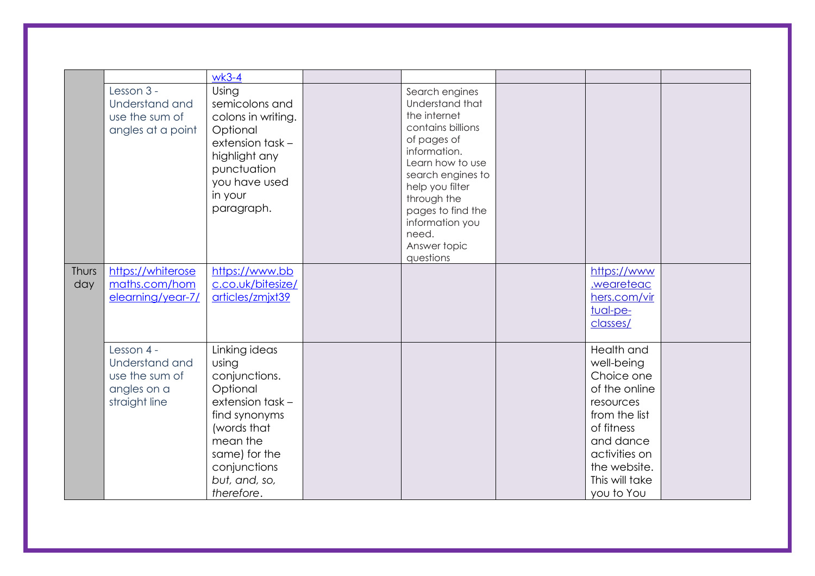|       |                                                                     | $wk3-4$                                                                                                                                                 |                                                                                                                                                                                                                                                                |                            |  |
|-------|---------------------------------------------------------------------|---------------------------------------------------------------------------------------------------------------------------------------------------------|----------------------------------------------------------------------------------------------------------------------------------------------------------------------------------------------------------------------------------------------------------------|----------------------------|--|
|       | Lesson 3 -<br>Understand and<br>use the sum of<br>angles at a point | Using<br>semicolons and<br>colons in writing.<br>Optional<br>extension task -<br>highlight any<br>punctuation<br>you have used<br>in your<br>paragraph. | Search engines<br>Understand that<br>the internet<br>contains billions<br>of pages of<br>information.<br>Learn how to use<br>search engines to<br>help you filter<br>through the<br>pages to find the<br>information you<br>need.<br>Answer topic<br>questions |                            |  |
| Thurs | https://whiterose                                                   | https://www.bb                                                                                                                                          |                                                                                                                                                                                                                                                                | https://www                |  |
| day   | maths.com/hom<br>elearning/year-7/                                  | c.co.uk/bitesize/<br>articles/zmjxt39                                                                                                                   |                                                                                                                                                                                                                                                                | .weareteac<br>hers.com/vir |  |
|       |                                                                     |                                                                                                                                                         |                                                                                                                                                                                                                                                                | tual-pe-                   |  |
|       |                                                                     |                                                                                                                                                         |                                                                                                                                                                                                                                                                | classes/                   |  |
|       | Lesson 4 -                                                          | Linking ideas                                                                                                                                           |                                                                                                                                                                                                                                                                | Health and                 |  |
|       | Understand and<br>use the sum of                                    | using<br>conjunctions.                                                                                                                                  |                                                                                                                                                                                                                                                                | well-being<br>Choice one   |  |
|       | angles on a                                                         | Optional                                                                                                                                                |                                                                                                                                                                                                                                                                | of the online              |  |
|       | straight line                                                       | extension task -                                                                                                                                        |                                                                                                                                                                                                                                                                | resources                  |  |
|       |                                                                     | find synonyms                                                                                                                                           |                                                                                                                                                                                                                                                                | from the list              |  |
|       |                                                                     | (words that<br>mean the                                                                                                                                 |                                                                                                                                                                                                                                                                | of fitness<br>and dance    |  |
|       |                                                                     | same) for the                                                                                                                                           |                                                                                                                                                                                                                                                                | activities on              |  |
|       |                                                                     | conjunctions                                                                                                                                            |                                                                                                                                                                                                                                                                | the website.               |  |
|       |                                                                     | but, and, so,                                                                                                                                           |                                                                                                                                                                                                                                                                | This will take             |  |
|       |                                                                     | therefore.                                                                                                                                              |                                                                                                                                                                                                                                                                | you to You                 |  |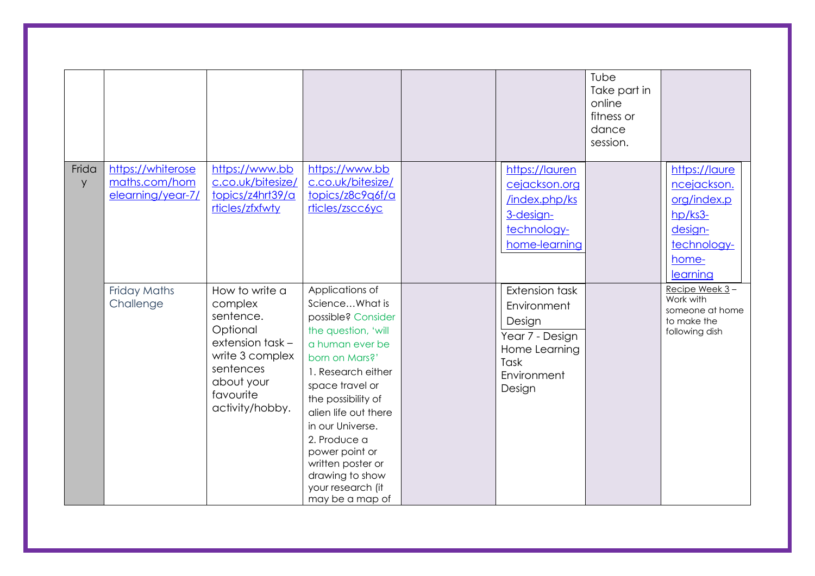|            |                                                         |                                                                                                                                                      |                                                                                                                                                                                                                                                                                                                                                  |                                                                                                                     | Tube<br>Take part in<br>online<br>fitness or<br>dance<br>session. |                                                                                                       |
|------------|---------------------------------------------------------|------------------------------------------------------------------------------------------------------------------------------------------------------|--------------------------------------------------------------------------------------------------------------------------------------------------------------------------------------------------------------------------------------------------------------------------------------------------------------------------------------------------|---------------------------------------------------------------------------------------------------------------------|-------------------------------------------------------------------|-------------------------------------------------------------------------------------------------------|
| Frida<br>y | https://whiterose<br>maths.com/hom<br>elearning/year-7/ | https://www.bb<br>c.co.uk/bitesize/<br>topics/z4hrt39/a<br>rticles/zfxfwty                                                                           | https://www.bb<br>c.co.uk/bitesize/<br>topics/z8c9q6f/a<br>rticles/zscc6yc                                                                                                                                                                                                                                                                       | https://lauren<br>cejackson.org<br>/index.php/ks<br>3-design-<br>technology-<br>home-learning                       |                                                                   | https://laure<br>ncejackson.<br>org/index.p<br>hp/ks3-<br>design-<br>technology-<br>home-<br>learning |
|            | <b>Friday Maths</b><br>Challenge                        | How to write a<br>complex<br>sentence.<br>Optional<br>extension task -<br>write 3 complex<br>sentences<br>about your<br>favourite<br>activity/hobby. | Applications of<br>ScienceWhat is<br>possible? Consider<br>the question, 'will<br>a human ever be<br>born on Mars?'<br>1. Research either<br>space travel or<br>the possibility of<br>alien life out there<br>in our Universe.<br>2. Produce a<br>power point or<br>written poster or<br>drawing to show<br>your research (it<br>may be a map of | <b>Extension task</b><br>Environment<br>Design<br>Year 7 - Design<br>Home Learning<br>Task<br>Environment<br>Design |                                                                   | Recipe Week 3-<br>Work with<br>someone at home<br>to make the<br>following dish                       |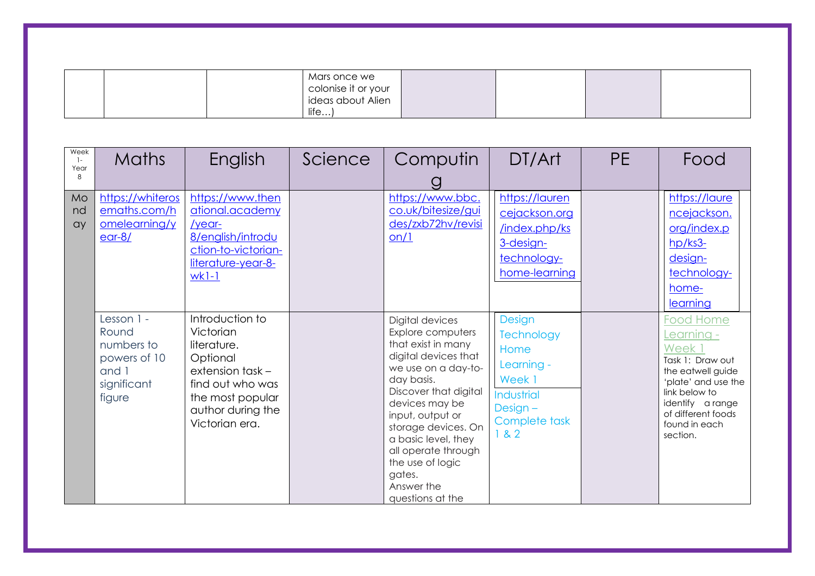|      | Mars once we<br>colonise it or your |  |  |
|------|-------------------------------------|--|--|
| life | ideas about Alien                   |  |  |

| Week<br>$1 -$<br>Year | <b>Maths</b>                                                                        | English                                                                                                                                                   | Science | Computin                                                                                                                                                                                                                                                                                                                    | DT/Art                                                                                                       | <b>PE</b> | Food                                                                                                                                                                                             |
|-----------------------|-------------------------------------------------------------------------------------|-----------------------------------------------------------------------------------------------------------------------------------------------------------|---------|-----------------------------------------------------------------------------------------------------------------------------------------------------------------------------------------------------------------------------------------------------------------------------------------------------------------------------|--------------------------------------------------------------------------------------------------------------|-----------|--------------------------------------------------------------------------------------------------------------------------------------------------------------------------------------------------|
| Mo<br>nd<br>ay        | https://whiteros<br>emaths.com/h<br>omelearning/y<br>$ear-8/$                       | https://www.then<br>ational.academy<br>$/$ year-<br>8/english/introdu<br>ction-to-victorian-<br>literature-year-8-<br>$wk1-1$                             |         | https://www.bbc.<br>co.uk/bitesize/gui<br>des/zxb72hv/revisi<br>on/1                                                                                                                                                                                                                                                        | https://lauren<br>cejackson.org<br>index.php/ks<br>3-design-<br>technology-<br>home-learning                 |           | https://laure<br>ncejackson.<br>org/index.p<br>$hp/kg3-$<br>design-<br>technology-<br>home-<br>learning                                                                                          |
|                       | Lesson 1 -<br>Round<br>numbers to<br>powers of 10<br>and 1<br>significant<br>figure | Introduction to<br>Victorian<br>literature.<br>Optional<br>extension task-<br>find out who was<br>the most popular<br>author during the<br>Victorian era. |         | Digital devices<br>Explore computers<br>that exist in many<br>digital devices that<br>we use on a day-to-<br>day basis.<br>Discover that digital<br>devices may be<br>input, output or<br>storage devices. On<br>a basic level, they<br>all operate through<br>the use of logic<br>gates.<br>Answer the<br>questions at the | Design<br><b>Technology</b><br>Home<br>Learning -<br>Week 1<br>Industrial<br>Design-<br>Complete task<br>182 |           | <b>Food Home</b><br>Learning -<br>Week 1<br>Task 1: Draw out<br>the eatwell guide<br>'plate' and use the<br>link below to<br>identify a range<br>of different foods<br>found in each<br>section. |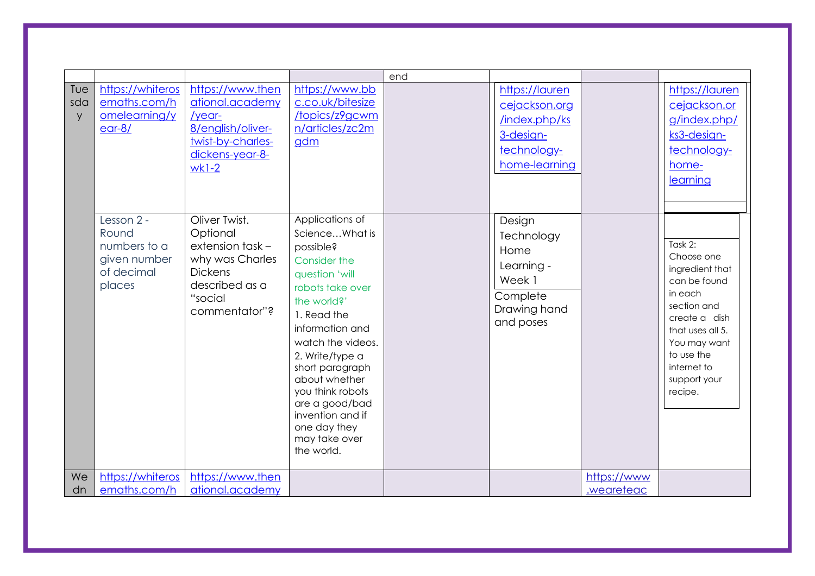|                 |                                                                             |                                                                                                                                 |                                                                                                                                                                                                                                                                                                                                            | end |                                                                                               |             |                                                                                                                                                                                                 |
|-----------------|-----------------------------------------------------------------------------|---------------------------------------------------------------------------------------------------------------------------------|--------------------------------------------------------------------------------------------------------------------------------------------------------------------------------------------------------------------------------------------------------------------------------------------------------------------------------------------|-----|-----------------------------------------------------------------------------------------------|-------------|-------------------------------------------------------------------------------------------------------------------------------------------------------------------------------------------------|
| Tue<br>sda<br>y | https://whiteros<br>emaths.com/h<br>omelearning/y<br>$ear-8/$               | https://www.then<br>ational.academy<br>/year-<br>8/english/oliver-<br>twist-by-charles-<br>dickens-year-8-<br>$wk1-2$           | https://www.bb<br>c.co.uk/bitesize<br>/topics/z9gcwm<br>n/articles/zc2m<br>gdm                                                                                                                                                                                                                                                             |     | https://lauren<br>cejackson.org<br>/index.php/ks<br>3-design-<br>technology-<br>home-learning |             | https://lauren<br>cejackson.or<br>g/index.php/<br>ks3-design-<br>technology-<br>home-<br>learning                                                                                               |
|                 | Lesson 2 -<br>Round<br>numbers to a<br>given number<br>of decimal<br>places | Oliver Twist.<br>Optional<br>extension task-<br>why was Charles<br><b>Dickens</b><br>described as a<br>"social<br>commentator"? | Applications of<br>ScienceWhat is<br>possible?<br>Consider the<br>question 'will<br>robots take over<br>the world?'<br>1. Read the<br>information and<br>watch the videos.<br>2. Write/type a<br>short paragraph<br>about whether<br>you think robots<br>are a good/bad<br>invention and if<br>one day they<br>may take over<br>the world. |     | Design<br>Technology<br>Home<br>Learning -<br>Week 1<br>Complete<br>Drawing hand<br>and poses |             | Task 2:<br>Choose one<br>ingredient that<br>can be found<br>in each<br>section and<br>create a dish<br>that uses all 5.<br>You may want<br>to use the<br>internet to<br>support your<br>recipe. |
| We              | https://whiteros                                                            | https://www.then                                                                                                                |                                                                                                                                                                                                                                                                                                                                            |     |                                                                                               | https://www |                                                                                                                                                                                                 |
| dn              | emaths.com/h                                                                | ational.academy                                                                                                                 |                                                                                                                                                                                                                                                                                                                                            |     |                                                                                               | weareteac.  |                                                                                                                                                                                                 |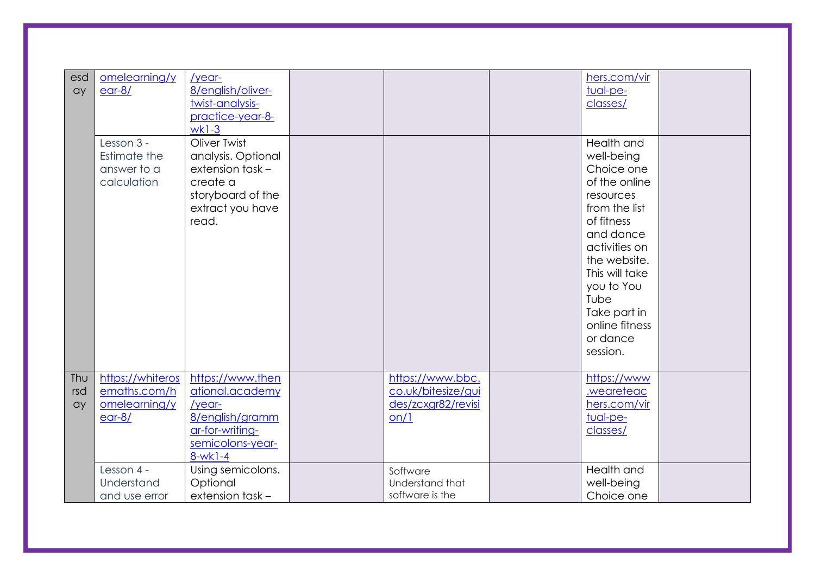| esd<br>ay        | omelearning/y<br>$ear-8/$                                     | /year-<br>8/english/oliver-<br>twist-analysis-<br>practice-year-8-<br>$wk1-3$                                        |                                                                      | hers.com/vir<br>tual-pe-<br>classes/                                                                                                                                                                                                                |  |
|------------------|---------------------------------------------------------------|----------------------------------------------------------------------------------------------------------------------|----------------------------------------------------------------------|-----------------------------------------------------------------------------------------------------------------------------------------------------------------------------------------------------------------------------------------------------|--|
|                  | Lesson 3 -<br>Estimate the<br>answer to a<br>calculation      | Oliver Twist<br>analysis. Optional<br>extension task-<br>create a<br>storyboard of the<br>extract you have<br>read.  |                                                                      | Health and<br>well-being<br>Choice one<br>of the online<br>resources<br>from the list<br>of fitness<br>and dance<br>activities on<br>the website.<br>This will take<br>you to You<br>Tube<br>Take part in<br>online fitness<br>or dance<br>session. |  |
| Thu<br>rsd<br>ay | https://whiteros<br>emaths.com/h<br>omelearning/y<br>$ear-8/$ | https://www.then<br>ational.academy<br>/year-<br>8/english/gramm<br>ar-for-writing-<br>semicolons-year-<br>$8-Wk1-4$ | https://www.bbc.<br>co.uk/bitesize/gui<br>des/zcxgr82/revisi<br>on/1 | https://www<br>.weareteac<br>hers.com/vir<br>tual-pe-<br>classes/                                                                                                                                                                                   |  |
|                  | Lesson 4 -<br>Understand<br>and use error                     | Using semicolons.<br>Optional<br>extension task-                                                                     | Software<br>Understand that<br>software is the                       | Health and<br>well-being<br>Choice one                                                                                                                                                                                                              |  |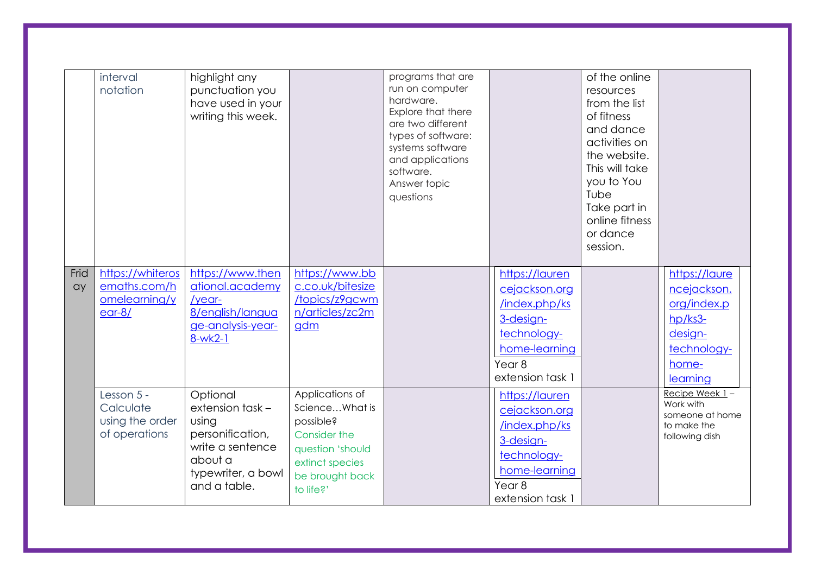|            | interval<br>notation                                          | highlight any<br>punctuation you<br>have used in your<br>writing this week.                                                   |                                                                                                                                       | programs that are<br>run on computer<br>hardware.<br>Explore that there<br>are two different<br>types of software:<br>systems software<br>and applications<br>software.<br>Answer topic<br>questions |                                                                                                                                        | of the online<br>resources<br>from the list<br>of fitness<br>and dance<br>activities on<br>the website.<br>This will take<br>you to You<br>Tube<br>Take part in<br>online fitness<br>or dance<br>session. |                                                                                                       |
|------------|---------------------------------------------------------------|-------------------------------------------------------------------------------------------------------------------------------|---------------------------------------------------------------------------------------------------------------------------------------|------------------------------------------------------------------------------------------------------------------------------------------------------------------------------------------------------|----------------------------------------------------------------------------------------------------------------------------------------|-----------------------------------------------------------------------------------------------------------------------------------------------------------------------------------------------------------|-------------------------------------------------------------------------------------------------------|
| Frid<br>ay | https://whiteros<br>emaths.com/h<br>omelearning/y<br>$ear-8/$ | https://www.then<br>ational.academy<br>/year-<br>8/english/langua<br>ge-analysis-year-<br>$8-wk2-1$                           | https://www.bb<br>c.co.uk/bitesize<br>/topics/z9gcwm<br>n/articles/zc2m<br>gdm                                                        |                                                                                                                                                                                                      | https://lauren<br>cejackson.org<br>/index.php/ks<br>3-design-<br>technology-<br>home-learning<br>Year <sub>8</sub><br>extension task 1 |                                                                                                                                                                                                           | https://laure<br>ncejackson.<br>org/index.p<br>hp/ks3-<br>design-<br>technology-<br>home-<br>learning |
|            | Lesson 5 -<br>Calculate<br>using the order<br>of operations   | Optional<br>extension task-<br>using<br>personification,<br>write a sentence<br>about a<br>typewriter, a bowl<br>and a table. | Applications of<br>ScienceWhat is<br>possible?<br>Consider the<br>question 'should<br>extinct species<br>be brought back<br>to life?' |                                                                                                                                                                                                      | https://lauren<br>cejackson.org<br>/index.php/ks<br>3-design-<br>technology-<br>home-learning<br>Year <sub>8</sub><br>extension task 1 |                                                                                                                                                                                                           | Recipe Week 1-<br>Work with<br>someone at home<br>to make the<br>following dish                       |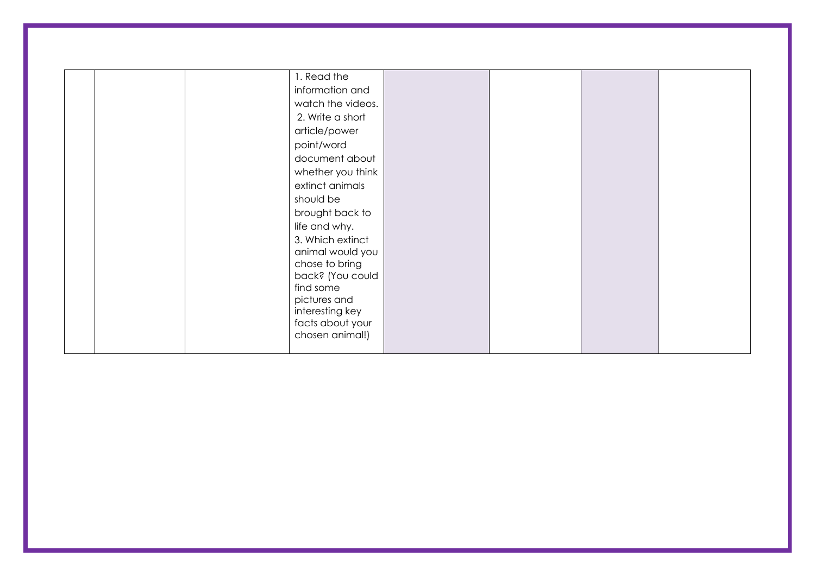|  | 1. Read the<br>information and<br>watch the videos.<br>2. Write a short<br>article/power<br>point/word<br>document about<br>whether you think<br>extinct animals<br>should be<br>brought back to<br>life and why.<br>3. Which extinct<br>animal would you<br>chose to bring<br>back? (You could |  |  |
|--|-------------------------------------------------------------------------------------------------------------------------------------------------------------------------------------------------------------------------------------------------------------------------------------------------|--|--|
|  | find some                                                                                                                                                                                                                                                                                       |  |  |
|  | pictures and<br>interesting key<br>facts about your<br>chosen animal!)                                                                                                                                                                                                                          |  |  |
|  |                                                                                                                                                                                                                                                                                                 |  |  |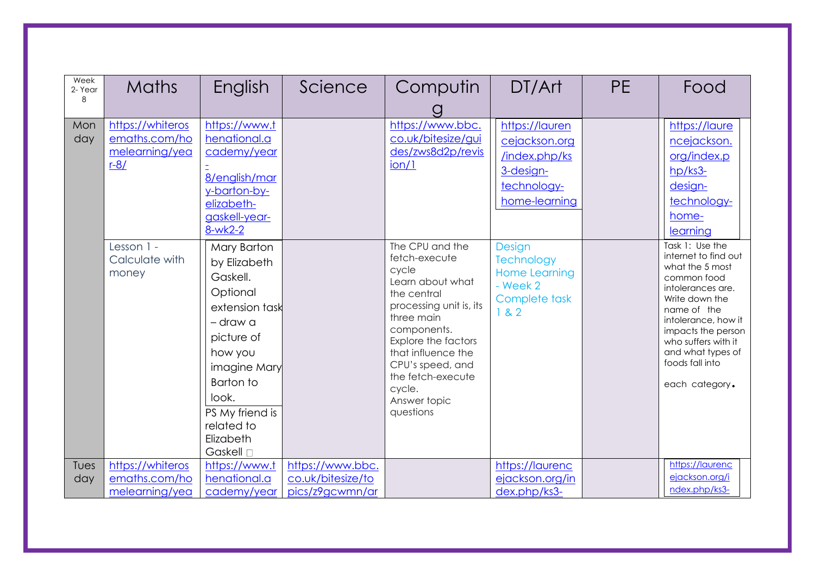| Week<br>2-Year<br>8 | <b>Maths</b>                                                  | English                                                                                                                                                                                                            | Science                                                  | Computin                                                                                                                                                                                                                                                          | DT/Art                                                                                        | <b>PE</b> | Food                                                                                                                                                                                                                                                          |
|---------------------|---------------------------------------------------------------|--------------------------------------------------------------------------------------------------------------------------------------------------------------------------------------------------------------------|----------------------------------------------------------|-------------------------------------------------------------------------------------------------------------------------------------------------------------------------------------------------------------------------------------------------------------------|-----------------------------------------------------------------------------------------------|-----------|---------------------------------------------------------------------------------------------------------------------------------------------------------------------------------------------------------------------------------------------------------------|
|                     |                                                               |                                                                                                                                                                                                                    |                                                          |                                                                                                                                                                                                                                                                   |                                                                                               |           |                                                                                                                                                                                                                                                               |
| Mon<br>day          | https://whiteros<br>emaths.com/ho<br>melearning/yea<br>$r-8/$ | https://www.t<br>henational.a<br>cademy/year<br>8/english/mar<br>y-barton-by-<br>elizabeth-<br>gaskell-year-<br>8-wk2-2                                                                                            |                                                          | https://www.bbc.<br>co.uk/bitesize/gui<br>des/zws8d2p/revis<br>ion/1                                                                                                                                                                                              | https://lauren<br>cejackson.org<br>/index.php/ks<br>3-design-<br>technology-<br>home-learning |           | https://laure<br>ncejackson.<br>org/index.p<br>hp/ks3-<br>design-<br>technology-<br>home-<br>learning                                                                                                                                                         |
|                     | Lesson 1 -<br>Calculate with<br>money                         | Mary Barton<br>by Elizabeth<br>Gaskell.<br>Optional<br>extension task<br>- draw a<br>picture of<br>how you<br>imagine Mary<br><b>Barton</b> to<br>look.<br>PS My friend is<br>related to<br>Elizabeth<br>Gaskell n |                                                          | The CPU and the<br>fetch-execute<br>cycle<br>Learn about what<br>the central<br>processing unit is, its<br>three main<br>components.<br>Explore the factors<br>that influence the<br>CPU's speed, and<br>the fetch-execute<br>cycle.<br>Answer topic<br>questions | Design<br><b>Technology</b><br><b>Home Learning</b><br>- Week 2<br>Complete task<br>1 & 2     |           | Task 1: Use the<br>internet to find out<br>what the 5 most<br>common food<br>intolerances are.<br>Write down the<br>name of the<br>intolerance, how it<br>impacts the person<br>who suffers with it<br>and what types of<br>foods fall into<br>each category. |
| Tues<br>day         | https://whiteros<br>emaths.com/ho<br>melearning/yea           | https://www.t<br>henational.a<br>cademy/year                                                                                                                                                                       | https://www.bbc.<br>co.uk/bitesize/to<br>pics/z9gcwmn/ar |                                                                                                                                                                                                                                                                   | https://laurenc<br>ejackson.org/in<br>dex.php/ks3-                                            |           | https://laurenc<br>ejackson.org/i<br>ndex.php/ks3-                                                                                                                                                                                                            |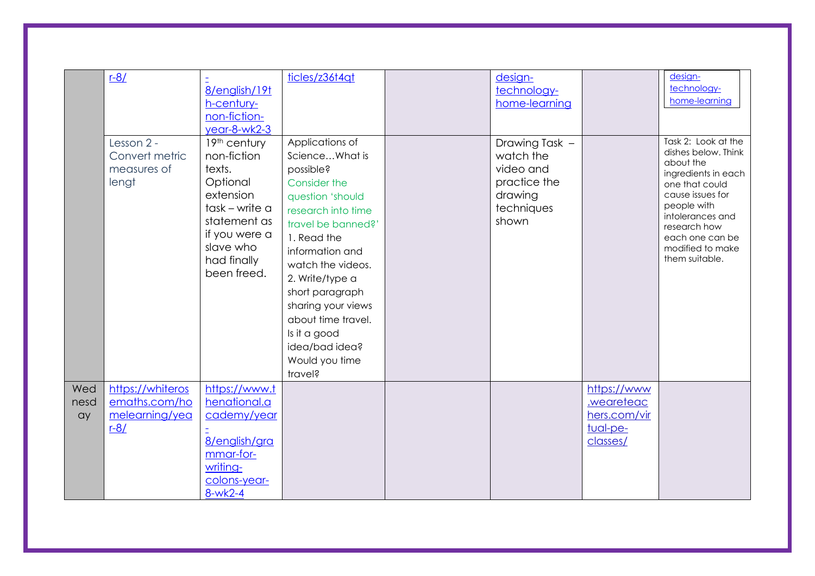|                   | $r-8/$                                                        | 8/english/19t<br>h-century-<br>non-fiction-<br>year-8-wk2-3                                                                                                  | ticles/z36t4qt                                                                                                                                                                                                                                                                                                                         | design-<br>technology-<br>home-learning                                                    |                                                                  | design-<br>technology-<br>home-learning                                                                                                                                                                                          |
|-------------------|---------------------------------------------------------------|--------------------------------------------------------------------------------------------------------------------------------------------------------------|----------------------------------------------------------------------------------------------------------------------------------------------------------------------------------------------------------------------------------------------------------------------------------------------------------------------------------------|--------------------------------------------------------------------------------------------|------------------------------------------------------------------|----------------------------------------------------------------------------------------------------------------------------------------------------------------------------------------------------------------------------------|
|                   | Lesson 2 -<br>Convert metric<br>measures of<br>lengt          | 19th century<br>non-fiction<br>texts.<br>Optional<br>extension<br>task – write a<br>statement as<br>if you were a<br>slave who<br>had finally<br>been freed. | Applications of<br>ScienceWhat is<br>possible?<br>Consider the<br>question 'should<br>research into time<br>travel be banned?'<br>1. Read the<br>information and<br>watch the videos.<br>2. Write/type a<br>short paragraph<br>sharing your views<br>about time travel.<br>Is it a good<br>idea/bad idea?<br>Would you time<br>travel? | Drawing Task -<br>watch the<br>video and<br>practice the<br>drawing<br>techniques<br>shown |                                                                  | Task 2: Look at the<br>dishes below. Think<br>about the<br>ingredients in each<br>one that could<br>cause issues for<br>people with<br>intolerances and<br>research how<br>each one can be<br>modified to make<br>them suitable. |
| Wed<br>nesd<br>ay | https://whiteros<br>emaths.com/ho<br>melearning/yea<br>$r-8/$ | https://www.t<br>henational.a<br>cademy/year<br>8/english/gra<br>mmar-for-<br>writing-<br>colons-year-<br>$8-wk2-4$                                          |                                                                                                                                                                                                                                                                                                                                        |                                                                                            | https://www<br>weareteac<br>hers.com/vir<br>tual-pe-<br>classes/ |                                                                                                                                                                                                                                  |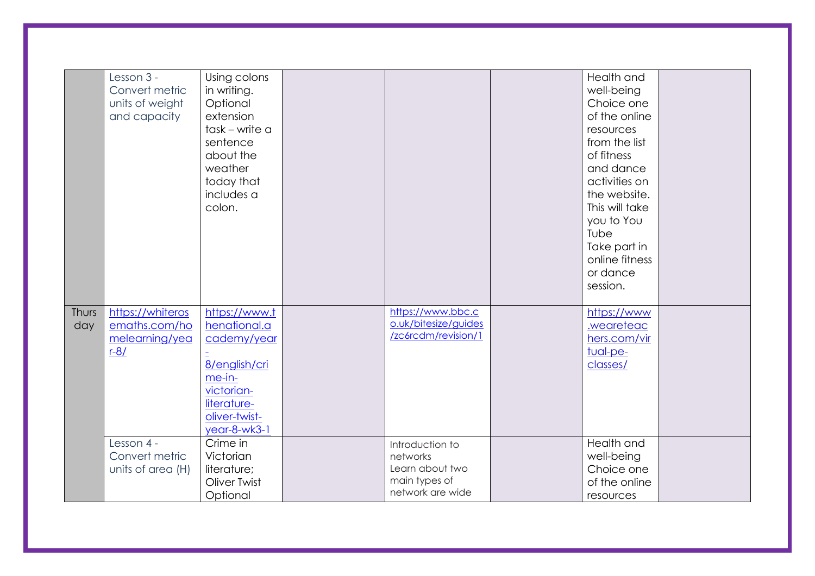|              | Lesson 3 -<br>Convert metric<br>units of weight<br>and capacity | Using colons<br>in writing.<br>Optional<br>extension<br>task – write a<br>sentence<br>about the<br>weather<br>today that<br>includes a<br>colon. |                                                                                     | Health and<br>well-being<br>Choice one<br>of the online<br>resources<br>from the list<br>of fitness<br>and dance<br>activities on<br>the website.<br>This will take<br>you to You<br>Tube<br>Take part in<br>online fitness<br>or dance<br>session. |  |
|--------------|-----------------------------------------------------------------|--------------------------------------------------------------------------------------------------------------------------------------------------|-------------------------------------------------------------------------------------|-----------------------------------------------------------------------------------------------------------------------------------------------------------------------------------------------------------------------------------------------------|--|
| Thurs<br>day | https://whiteros<br>emaths.com/ho<br>melearning/yea<br>$r - 8/$ | https://www.t<br>henational.a<br>cademy/year<br>8/english/cri<br>me-in-<br>victorian-<br>literature-<br>oliver-twist-<br>year-8-wk3-1            | https://www.bbc.c<br>o.uk/bitesize/guides<br>/zc6rcdm/revision/1                    | https://www<br>weareteac<br>hers.com/vir<br>tual-pe-<br>classes/                                                                                                                                                                                    |  |
|              | Lesson 4 -<br>Convert metric<br>units of area (H)               | Crime in<br>Victorian<br>literature;<br>Oliver Twist<br>Optional                                                                                 | Introduction to<br>networks<br>Learn about two<br>main types of<br>network are wide | Health and<br>well-being<br>Choice one<br>of the online<br>resources                                                                                                                                                                                |  |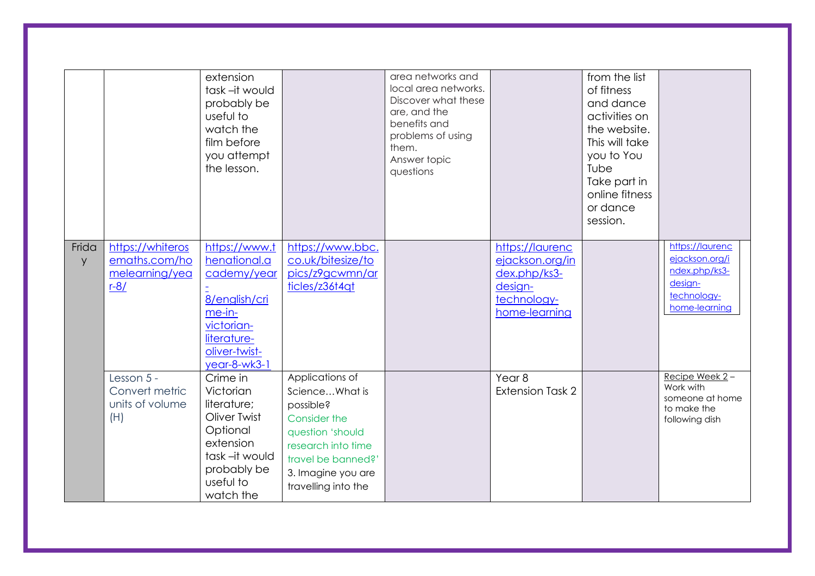|            |                                                               | extension<br>task-it would<br>probably be<br>useful to<br>watch the<br>film before<br>you attempt<br>the lesson.                                        |                                                                                                                                                                             | area networks and<br>local area networks.<br>Discover what these<br>are, and the<br>benefits and<br>problems of using<br>them.<br>Answer topic<br>questions |                                                                                               | from the list<br>of fitness<br>and dance<br>activities on<br>the website.<br>This will take<br>you to You<br>Tube<br>Take part in<br>online fitness<br>or dance<br>session. |                                                                                               |
|------------|---------------------------------------------------------------|---------------------------------------------------------------------------------------------------------------------------------------------------------|-----------------------------------------------------------------------------------------------------------------------------------------------------------------------------|-------------------------------------------------------------------------------------------------------------------------------------------------------------|-----------------------------------------------------------------------------------------------|-----------------------------------------------------------------------------------------------------------------------------------------------------------------------------|-----------------------------------------------------------------------------------------------|
| Frida<br>y | https://whiteros<br>emaths.com/ho<br>melearning/yea<br>$r-8/$ | https://www.t<br>henational.a<br>cademy/year<br>8/english/cri<br>me-in-<br>victorian-<br>literature-<br>oliver-twist-                                   | https://www.bbc.<br>co.uk/bitesize/to<br>pics/z9gcwmn/ar<br>ticles/z36t4qt                                                                                                  |                                                                                                                                                             | https://laurenc<br>ejackson.org/in<br>dex.php/ks3-<br>design-<br>technology-<br>home-learning |                                                                                                                                                                             | https://laurenc<br>ejackson.org/i<br>ndex.php/ks3-<br>design-<br>technology-<br>home-learning |
|            | Lesson 5 -<br>Convert metric<br>units of volume<br>(H)        | year-8-wk3-1<br>Crime in<br>Victorian<br>literature;<br>Oliver Twist<br>Optional<br>extension<br>task-it would<br>probably be<br>useful to<br>watch the | Applications of<br>ScienceWhat is<br>possible?<br>Consider the<br>question 'should<br>research into time<br>travel be banned?'<br>3. Imagine you are<br>travelling into the |                                                                                                                                                             | Year <sub>8</sub><br><b>Extension Task 2</b>                                                  |                                                                                                                                                                             | Recipe Week 2-<br>Work with<br>someone at home<br>to make the<br>following dish               |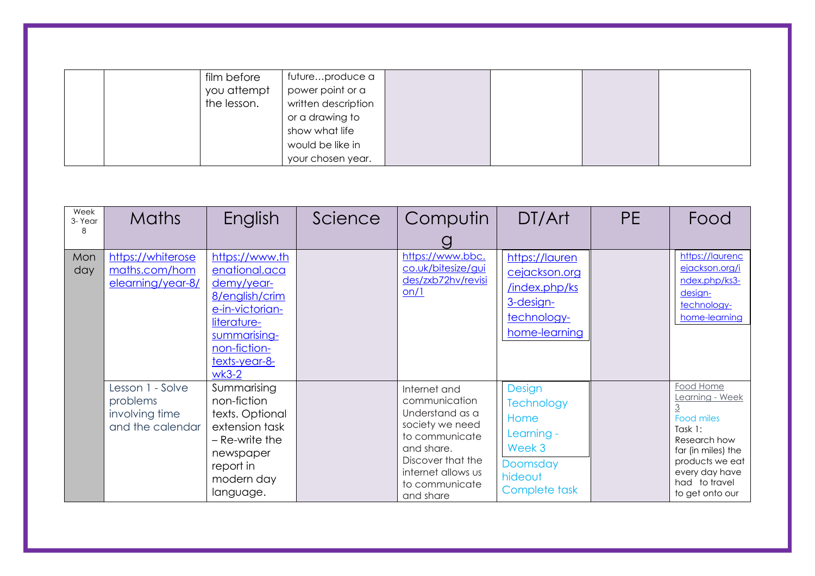|  | film before | futureproduce a     |  |  |
|--|-------------|---------------------|--|--|
|  | you attempt | power point or a    |  |  |
|  | the lesson. | written description |  |  |
|  |             | or a drawing to     |  |  |
|  |             | show what life      |  |  |
|  |             | would be like in    |  |  |
|  |             | your chosen year.   |  |  |

| Week<br>3-Year<br>8 | <b>Maths</b>                                                       | English                                                                                                                                                       | Science | Computin                                                                                                                                                                      | DT/Art                                                                                              | <b>PE</b> | Food                                                                                                                                                                 |
|---------------------|--------------------------------------------------------------------|---------------------------------------------------------------------------------------------------------------------------------------------------------------|---------|-------------------------------------------------------------------------------------------------------------------------------------------------------------------------------|-----------------------------------------------------------------------------------------------------|-----------|----------------------------------------------------------------------------------------------------------------------------------------------------------------------|
| Mon<br>day          | https://whiterose<br>maths.com/hom<br>elearning/year-8/            | https://www.th<br>enational.aca<br>demy/year-<br>8/english/crim<br>e-in-victorian-<br>literature-<br>summarising-<br>non-fiction-<br>texts-year-8-<br>$wk3-2$ |         | https://www.bbc.<br>co.uk/bitesize/gui<br>des/zxb72hv/revisi<br>on/1                                                                                                          | https://lauren<br>cejackson.org<br>/index.php/ks<br>3-design-<br>technology-<br>home-learning       |           | https://laurenc<br>ejackson.org/i<br>ndex.php/ks3-<br>design-<br>technology-<br>home-learning                                                                        |
|                     | Lesson 1 - Solve<br>problems<br>involving time<br>and the calendar | Summarising<br>non-fiction<br>texts. Optional<br>extension task<br>$-$ Re-write the<br>newspaper<br>report in<br>modern day<br>language.                      |         | Internet and<br>communication<br>Understand as a<br>society we need<br>to communicate<br>and share.<br>Discover that the<br>internet allows us<br>to communicate<br>and share | Design<br><b>Technology</b><br>Home<br>Learning -<br>Week 3<br>Doomsday<br>hideout<br>Complete task |           | Food Home<br>Learning - Week<br>Food miles<br>Task 1:<br>Research how<br>far (in miles) the<br>products we eat<br>every day have<br>had to travel<br>to get onto our |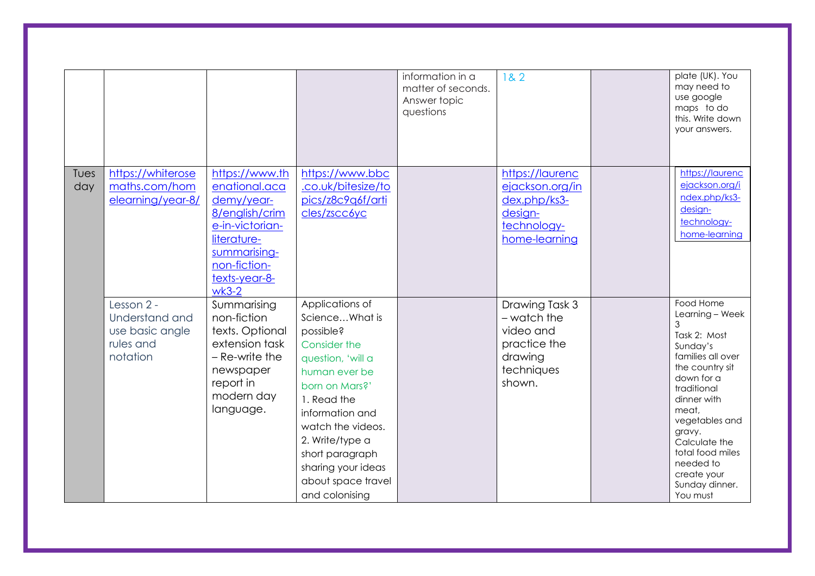|             |                                                                          |                                                                                                                                                               |                                                                                                                                                                                                                                                                                          | information in a<br>matter of seconds.<br>Answer topic<br>questions | 18.2                                                                                          | plate (UK). You<br>may need to<br>use google<br>maps to do<br>this. Write down<br>your answers.                                                                                                                                                                                       |
|-------------|--------------------------------------------------------------------------|---------------------------------------------------------------------------------------------------------------------------------------------------------------|------------------------------------------------------------------------------------------------------------------------------------------------------------------------------------------------------------------------------------------------------------------------------------------|---------------------------------------------------------------------|-----------------------------------------------------------------------------------------------|---------------------------------------------------------------------------------------------------------------------------------------------------------------------------------------------------------------------------------------------------------------------------------------|
| Tues<br>day | https://whiterose<br>maths.com/hom<br>elearning/year-8/                  | https://www.th<br>enational.aca<br>demy/year-<br>8/english/crim<br>e-in-victorian-<br>literature-<br>summarising-<br>non-fiction-<br>texts-year-8-<br>$wk3-2$ | https://www.bbc<br>.co.uk/bitesize/to<br>pics/z8c9q6f/arti<br>cles/zscc6yc                                                                                                                                                                                                               |                                                                     | https://laurenc<br>ejackson.org/in<br>dex.php/ks3-<br>design-<br>technology-<br>home-learning | https://laurenc<br>ejackson.org/i<br>ndex.php/ks3-<br>design-<br>technology-<br>home-learning                                                                                                                                                                                         |
|             | Lesson 2 -<br>Understand and<br>use basic angle<br>rules and<br>notation | Summarising<br>non-fiction<br>texts. Optional<br>extension task<br>$-$ Re-write the<br>newspaper<br>report in<br>modern day<br>language.                      | Applications of<br>ScienceWhat is<br>possible?<br><b>Consider the</b><br>question, 'will a<br>human ever be<br>born on Mars?'<br>1. Read the<br>information and<br>watch the videos.<br>2. Write/type a<br>short paragraph<br>sharing your ideas<br>about space travel<br>and colonising |                                                                     | Drawing Task 3<br>- watch the<br>video and<br>practice the<br>drawing<br>techniques<br>shown. | Food Home<br>Learning - Week<br>3<br>Task 2: Most<br>Sunday's<br>families all over<br>the country sit<br>down for a<br>traditional<br>dinner with<br>meat,<br>vegetables and<br>gravy.<br>Calculate the<br>total food miles<br>needed to<br>create your<br>Sunday dinner.<br>You must |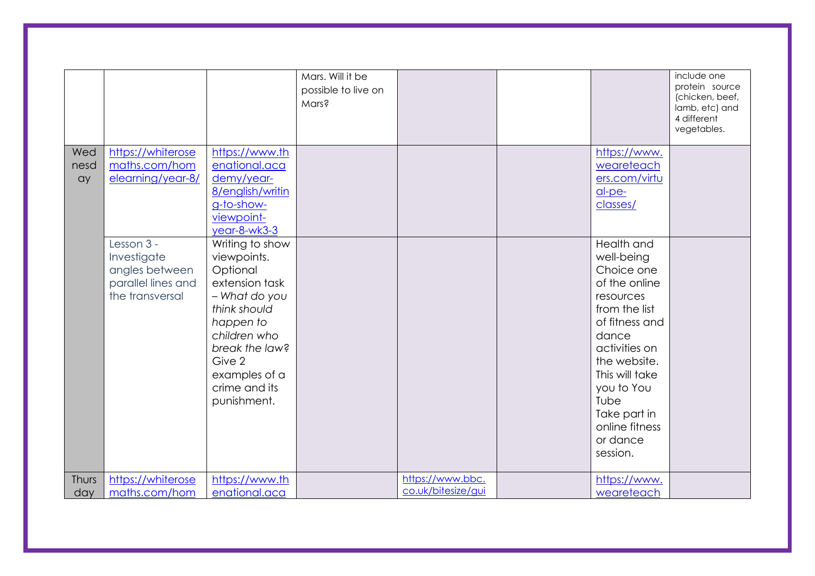|                   |                                                                                      |                                                                                                                                                                                                         | Mars. Will it be<br>possible to live on<br><b>Mars?</b> |                                        |                                                                                                                                                                                                                                                     | include one<br>protein source<br>(chicken, beef,<br>lamb, etc) and<br>4 different<br>vegetables. |
|-------------------|--------------------------------------------------------------------------------------|---------------------------------------------------------------------------------------------------------------------------------------------------------------------------------------------------------|---------------------------------------------------------|----------------------------------------|-----------------------------------------------------------------------------------------------------------------------------------------------------------------------------------------------------------------------------------------------------|--------------------------------------------------------------------------------------------------|
| Wed<br>nesd<br>ay | https://whiterose<br>maths.com/hom<br>elearning/year-8/                              | https://www.th<br>enational.aca<br>demy/year-<br>8/english/writin<br>g-to-show-<br>viewpoint-<br>year-8-wk3-3                                                                                           |                                                         |                                        | https://www.<br>weareteach<br>ers.com/virtu<br>al-pe-<br>classes/                                                                                                                                                                                   |                                                                                                  |
|                   | Lesson 3 -<br>Investigate<br>angles between<br>parallel lines and<br>the transversal | Writing to show<br>viewpoints.<br>Optional<br>extension task<br>- What do you<br>think should<br>happen to<br>children who<br>break the law?<br>Give 2<br>examples of a<br>crime and its<br>punishment. |                                                         |                                        | Health and<br>well-being<br>Choice one<br>of the online<br>resources<br>from the list<br>of fitness and<br>dance<br>activities on<br>the website.<br>This will take<br>you to You<br>Tube<br>Take part in<br>online fitness<br>or dance<br>session. |                                                                                                  |
| Thurs<br>day      | https://whiterose<br>maths.com/hom                                                   | https://www.th<br>enational.aca                                                                                                                                                                         |                                                         | https://www.bbc.<br>co.uk/bitesize/gui | https://www.<br>weareteach                                                                                                                                                                                                                          |                                                                                                  |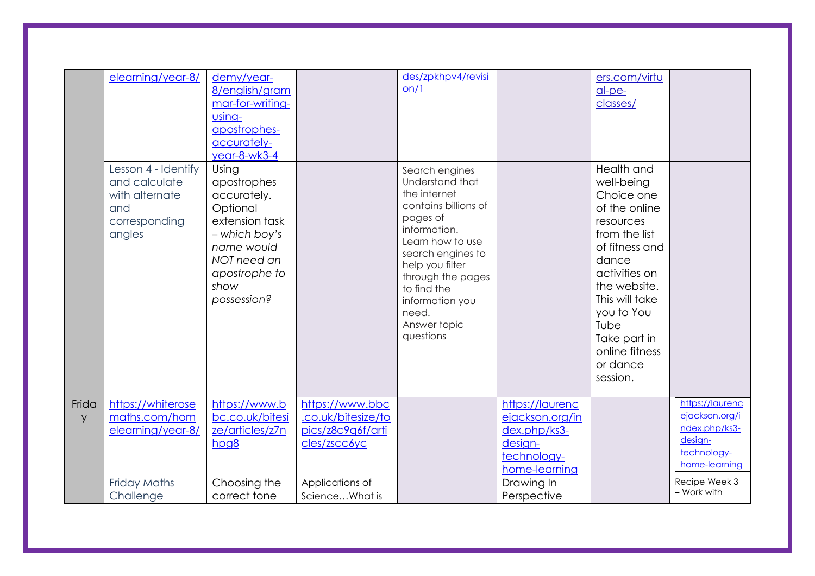|            | elearning/year-8/                                                                        | demy/year-<br>8/english/gram<br>mar-for-writing-<br>using-<br>apostrophes-<br>accurately-<br>year-8-wk3-4                                               |                                                                            | des/zpkhpv4/revisi<br>on/1                                                                                                                                                                                                                                     |                                                                                               | ers.com/virtu<br>$al$ -pe-<br>classes/                                                                                                                                                                                                              |                                                                                               |
|------------|------------------------------------------------------------------------------------------|---------------------------------------------------------------------------------------------------------------------------------------------------------|----------------------------------------------------------------------------|----------------------------------------------------------------------------------------------------------------------------------------------------------------------------------------------------------------------------------------------------------------|-----------------------------------------------------------------------------------------------|-----------------------------------------------------------------------------------------------------------------------------------------------------------------------------------------------------------------------------------------------------|-----------------------------------------------------------------------------------------------|
|            | Lesson 4 - Identify<br>and calculate<br>with alternate<br>and<br>corresponding<br>angles | Using<br>apostrophes<br>accurately.<br>Optional<br>extension task<br>- which boy's<br>name would<br>NOT need an<br>apostrophe to<br>show<br>possession? |                                                                            | Search engines<br>Understand that<br>the internet<br>contains billions of<br>pages of<br>information.<br>Learn how to use<br>search engines to<br>help you filter<br>through the pages<br>to find the<br>information you<br>need.<br>Answer topic<br>questions |                                                                                               | Health and<br>well-being<br>Choice one<br>of the online<br>resources<br>from the list<br>of fitness and<br>dance<br>activities on<br>the website.<br>This will take<br>you to You<br>Tube<br>Take part in<br>online fitness<br>or dance<br>session. |                                                                                               |
| Frida<br>y | https://whiterose<br>maths.com/hom<br>elearning/year-8/                                  | https://www.b<br>bc.co.uk/bitesi<br>ze/articles/z7n<br>hpg8                                                                                             | https://www.bbc<br>.co.uk/bitesize/to<br>pics/z8c9q6f/arti<br>cles/zscc6yc |                                                                                                                                                                                                                                                                | https://laurenc<br>ejackson.org/in<br>dex.php/ks3-<br>design-<br>technology-<br>home-learning |                                                                                                                                                                                                                                                     | https://laurenc<br>ejackson.org/i<br>ndex.php/ks3-<br>design-<br>technology-<br>home-learning |
|            | <b>Friday Maths</b><br>Challenge                                                         | Choosing the<br>correct tone                                                                                                                            | Applications of<br>ScienceWhat is                                          |                                                                                                                                                                                                                                                                | Drawing In<br>Perspective                                                                     |                                                                                                                                                                                                                                                     | Recipe Week 3<br>- Work with                                                                  |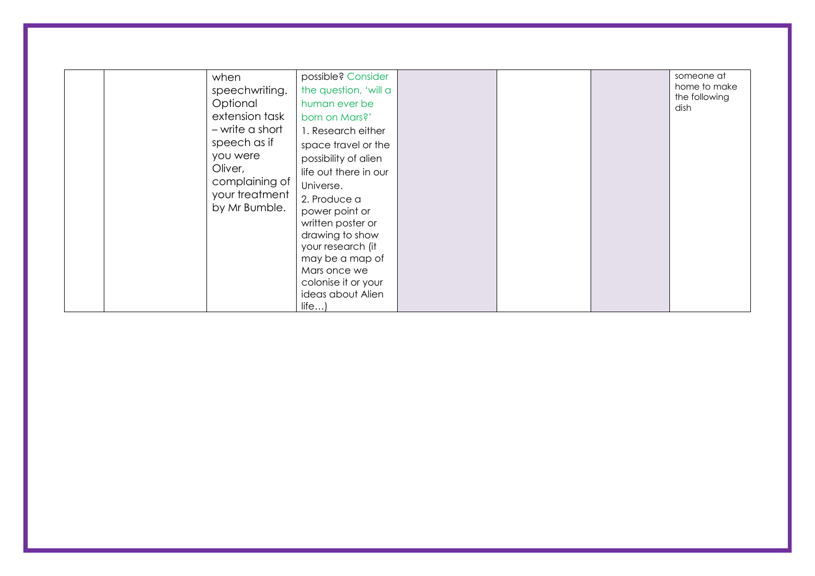| when<br>speechwriting.<br>Optional<br>extension task<br>- write a short<br>speech as if<br>you were<br>Oliver,<br>complaining of<br>your treatment<br>by Mr Bumble. | possible? Consider<br>the question, 'will a<br>human ever be<br>born on Mars?'<br>1. Research either<br>space travel or the<br>possibility of alien<br>life out there in our<br>Universe.<br>2. Produce a<br>power point or<br>written poster or<br>drawing to show<br>your research (it<br>may be a map of<br>Mars once we<br>colonise it or your |  | someone at<br>home to make<br>the following<br>dish |
|---------------------------------------------------------------------------------------------------------------------------------------------------------------------|----------------------------------------------------------------------------------------------------------------------------------------------------------------------------------------------------------------------------------------------------------------------------------------------------------------------------------------------------|--|-----------------------------------------------------|
|                                                                                                                                                                     | ideas about Alien<br>life                                                                                                                                                                                                                                                                                                                          |  |                                                     |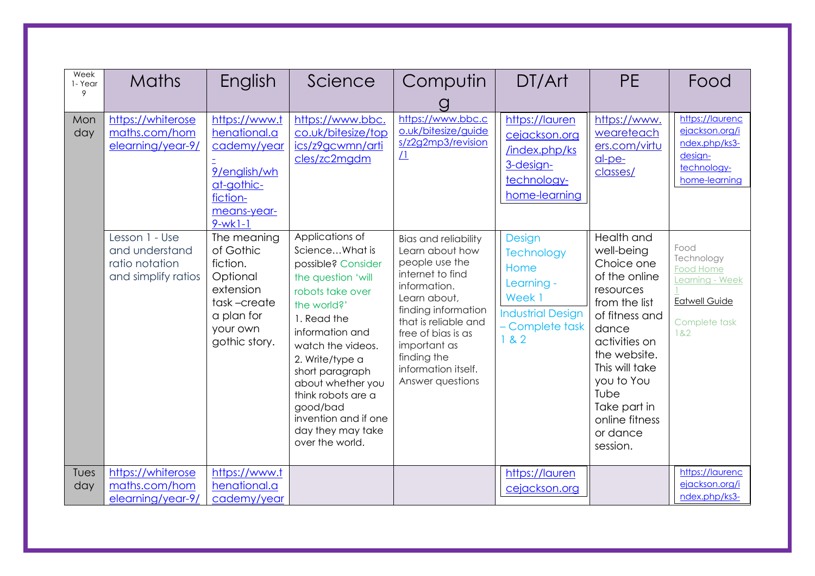| Week<br>1-Year<br>9 | Maths                                                                     | English                                                                                                                 | Science                                                                                                                                                                                                                                                                                                                              | Computin                                                                                                                                                                                                                                                            | DT/Art                                                                                                            | <b>PE</b>                                                                                                                                                                                                                                           | Food                                                                                               |
|---------------------|---------------------------------------------------------------------------|-------------------------------------------------------------------------------------------------------------------------|--------------------------------------------------------------------------------------------------------------------------------------------------------------------------------------------------------------------------------------------------------------------------------------------------------------------------------------|---------------------------------------------------------------------------------------------------------------------------------------------------------------------------------------------------------------------------------------------------------------------|-------------------------------------------------------------------------------------------------------------------|-----------------------------------------------------------------------------------------------------------------------------------------------------------------------------------------------------------------------------------------------------|----------------------------------------------------------------------------------------------------|
| Mon<br>day          | https://whiterose<br>maths.com/hom<br>elearning/year-9/                   | https://www.t<br>henational.a<br>cademy/year<br>9/english/wh<br>at-gothic-<br>fiction-<br>means-year-<br>$9-wk1-1$      | https://www.bbc.<br>co.uk/bitesize/top<br>ics/z9gcwmn/arti<br>cles/zc2mgdm                                                                                                                                                                                                                                                           | https://www.bbc.c<br>o.uk/bitesize/guide<br>s/z2g2mp3/revision<br>$\perp$                                                                                                                                                                                           | https://lauren<br>cejackson.org<br>/index.php/ks<br>3-design-<br>technology-<br>home-learning                     | https://www.<br>weareteach<br>ers.com/virtu<br>al-pe-<br>classes/                                                                                                                                                                                   | https://laurenc<br>ejackson.org/i<br>ndex.php/ks3-<br>design-<br>technology-<br>home-learning      |
|                     | Lesson 1 - Use<br>and understand<br>ratio notation<br>and simplify ratios | The meaning<br>of Gothic<br>fiction.<br>Optional<br>extension<br>task-create<br>a plan for<br>your own<br>gothic story. | Applications of<br>ScienceWhat is<br>possible? Consider<br>the question 'will<br>robots take over<br>the world?'<br>1. Read the<br>information and<br>watch the videos.<br>2. Write/type a<br>short paragraph<br>about whether you<br>think robots are a<br>good/bad<br>invention and if one<br>day they may take<br>over the world. | <b>Bias and reliability</b><br>Learn about how<br>people use the<br>internet to find<br>information.<br>Learn about,<br>finding information<br>that is reliable and<br>free of bias is as<br>important as<br>finding the<br>information itself.<br>Answer questions | Design<br><b>Technology</b><br>Home<br>Learning -<br>Week 1<br><b>Industrial Design</b><br>- Complete task<br>182 | Health and<br>well-being<br>Choice one<br>of the online<br>resources<br>from the list<br>of fitness and<br>dance<br>activities on<br>the website.<br>This will take<br>you to You<br>Tube<br>Take part in<br>online fitness<br>or dance<br>session. | Food<br>Technology<br>Food Home<br>Learning - Week<br><b>Eatwell Guide</b><br>Complete task<br>1&2 |
| Tues<br>day         | https://whiterose<br>maths.com/hom<br>elearning/year-9/                   | https://www.t<br>henational.a<br>cademy/year                                                                            |                                                                                                                                                                                                                                                                                                                                      |                                                                                                                                                                                                                                                                     | https://lauren<br>cejackson.org                                                                                   |                                                                                                                                                                                                                                                     | https://laurenc<br>ejackson.org/i<br>ndex.php/ks3-                                                 |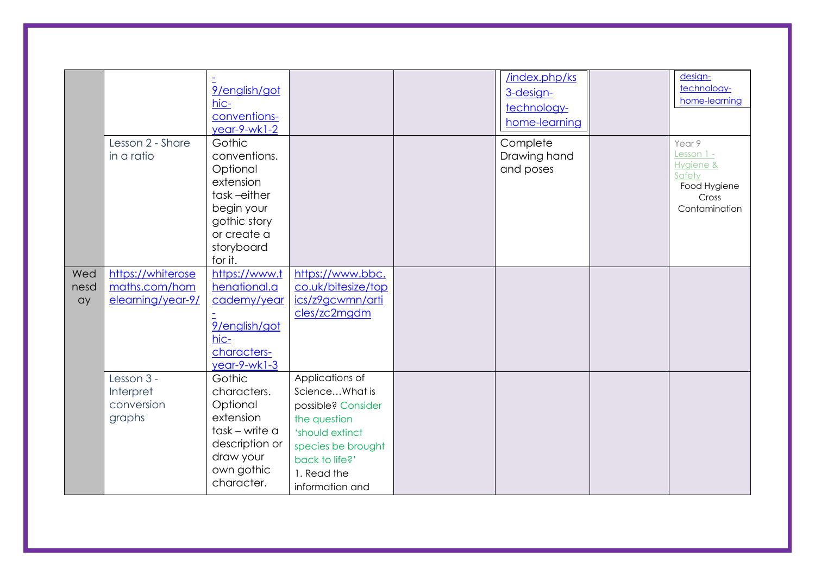|                   |                                                         | 9/english/got<br>hic-<br>conventions-<br>year-9-wk1-2                                                                                |                                                                                                                                                                      | index.php/ks<br>3-design-<br>technology-<br>home-learning | design-<br>technology-<br>home-learning                                               |
|-------------------|---------------------------------------------------------|--------------------------------------------------------------------------------------------------------------------------------------|----------------------------------------------------------------------------------------------------------------------------------------------------------------------|-----------------------------------------------------------|---------------------------------------------------------------------------------------|
|                   | Lesson 2 - Share<br>in a ratio                          | Gothic<br>conventions.<br>Optional<br>extension<br>task-either<br>begin your<br>gothic story<br>or create a<br>storyboard<br>for it. |                                                                                                                                                                      | Complete<br>Drawing hand<br>and poses                     | Year 9<br>Lesson 1 -<br>Hygiene &<br>Safety<br>Food Hygiene<br>Cross<br>Contamination |
| Wed<br>nesd<br>ay | https://whiterose<br>maths.com/hom<br>elearning/year-9/ | https://www.t<br>henational.a<br>cademy/year<br>9/english/got<br>hic-<br>characters-<br>year-9-wk1-3                                 | https://www.bbc.<br>co.uk/bitesize/top<br>ics/z9gcwmn/arti<br>cles/zc2mgdm                                                                                           |                                                           |                                                                                       |
|                   | Lesson 3 -<br>Interpret<br>conversion<br>graphs         | Gothic<br>characters.<br>Optional<br>extension<br>task – write a<br>description or<br>draw your<br>own gothic<br>character.          | Applications of<br>ScienceWhat is<br>possible? Consider<br>the question<br>'should extinct<br>species be brought<br>back to life?'<br>1. Read the<br>information and |                                                           |                                                                                       |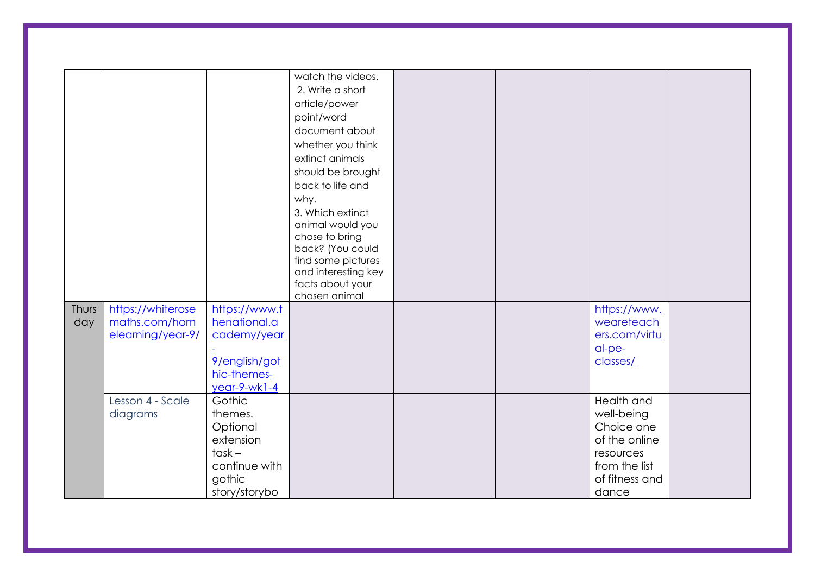|       |                   |                             | watch the videos.   |  |                |  |
|-------|-------------------|-----------------------------|---------------------|--|----------------|--|
|       |                   |                             | 2. Write a short    |  |                |  |
|       |                   |                             | article/power       |  |                |  |
|       |                   |                             | point/word          |  |                |  |
|       |                   |                             | document about      |  |                |  |
|       |                   |                             | whether you think   |  |                |  |
|       |                   |                             | extinct animals     |  |                |  |
|       |                   |                             | should be brought   |  |                |  |
|       |                   |                             | back to life and    |  |                |  |
|       |                   |                             | why.                |  |                |  |
|       |                   |                             | 3. Which extinct    |  |                |  |
|       |                   |                             | animal would you    |  |                |  |
|       |                   |                             | chose to bring      |  |                |  |
|       |                   |                             | back? (You could    |  |                |  |
|       |                   |                             | find some pictures  |  |                |  |
|       |                   |                             | and interesting key |  |                |  |
|       |                   |                             | facts about your    |  |                |  |
|       |                   |                             | chosen animal       |  |                |  |
| Thurs | https://whiterose | https://www.t               |                     |  | https://www.   |  |
| day   | maths.com/hom     | henational.a                |                     |  | weareteach     |  |
|       | elearning/year-9/ | cademy/year                 |                     |  | ers.com/virtu  |  |
|       |                   |                             |                     |  | $al$ -pe-      |  |
|       |                   | 9/english/got               |                     |  | classes/       |  |
|       |                   | hic-themes-<br>year-9-wk1-4 |                     |  |                |  |
|       | Lesson 4 - Scale  | Gothic                      |                     |  | Health and     |  |
|       |                   | themes.                     |                     |  |                |  |
|       | diagrams          |                             |                     |  | well-being     |  |
|       |                   | Optional                    |                     |  | Choice one     |  |
|       |                   | extension<br>$task -$       |                     |  | of the online  |  |
|       |                   |                             |                     |  | resources      |  |
|       |                   | continue with               |                     |  | from the list  |  |
|       |                   | gothic                      |                     |  | of fitness and |  |
|       |                   | story/storybo               |                     |  | dance          |  |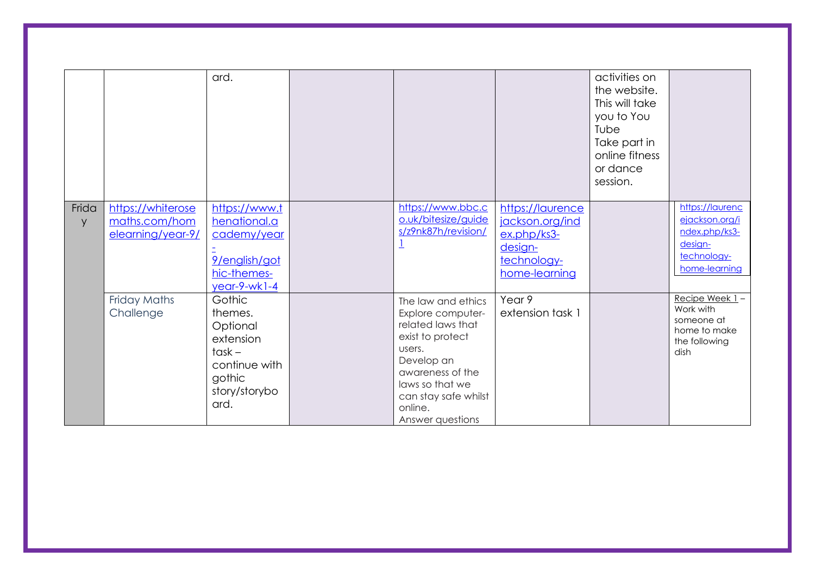|            |                                                         | ard.                                                                                                       |                                                                                                                                                                                                        |                                                                                               | activities on<br>the website.<br>This will take<br>you to You<br>Tube<br>Take part in<br>online fitness<br>or dance<br>session. |                                                                                               |
|------------|---------------------------------------------------------|------------------------------------------------------------------------------------------------------------|--------------------------------------------------------------------------------------------------------------------------------------------------------------------------------------------------------|-----------------------------------------------------------------------------------------------|---------------------------------------------------------------------------------------------------------------------------------|-----------------------------------------------------------------------------------------------|
| Frida<br>y | https://whiterose<br>maths.com/hom<br>elearning/year-9/ | https://www.t<br>henational.a<br>cademy/year<br>9/english/got<br>hic-themes-<br>$year-9-wk1-4$             | https://www.bbc.c<br>o.uk/bitesize/guide<br>s/z9nk87h/revision/                                                                                                                                        | https://laurence<br>jackson.org/ind<br>ex.php/ks3-<br>design-<br>technology-<br>home-learning |                                                                                                                                 | https://laurenc<br>ejackson.org/i<br>ndex.php/ks3-<br>design-<br>technology-<br>home-learning |
|            | <b>Friday Maths</b><br>Challenge                        | Gothic<br>themes.<br>Optional<br>extension<br>$task -$<br>continue with<br>gothic<br>story/storybo<br>ard. | The law and ethics<br>Explore computer-<br>related laws that<br>exist to protect<br>users.<br>Develop an<br>awareness of the<br>laws so that we<br>can stay safe whilst<br>online.<br>Answer questions | Year 9<br>extension task 1                                                                    |                                                                                                                                 | Recipe Week 1-<br>Work with<br>someone at<br>home to make<br>the following<br>dish            |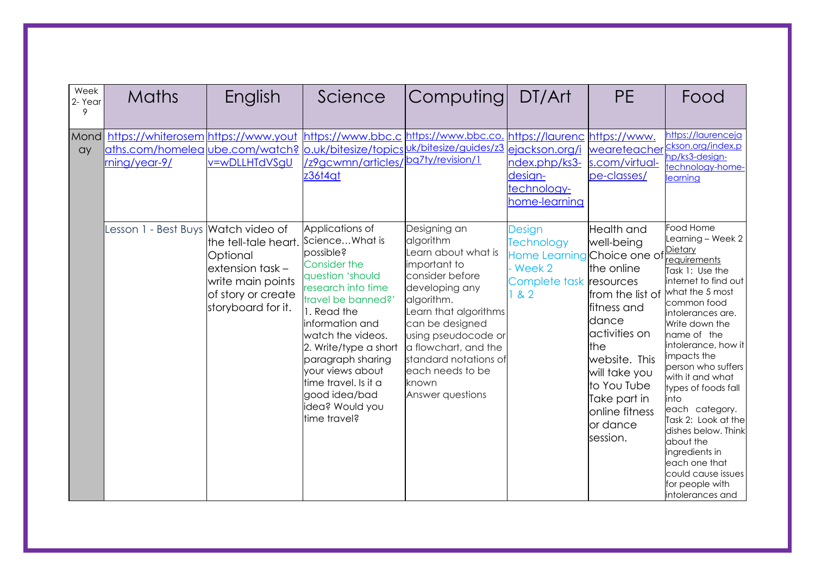| Week<br>2-Year<br>9 | <b>Maths</b>                                                                           | English                                                                                                                | Science                                                                                                                                                                                                                                                                                                                                    | Computing                                                                                                                                                                                                                                                                                | DT/Art                                                                                                     | <b>PE</b>                                                                                                                                                                                                                    | Food                                                                                                                                                                                                                                                                                                                                                                                                                                                                                            |
|---------------------|----------------------------------------------------------------------------------------|------------------------------------------------------------------------------------------------------------------------|--------------------------------------------------------------------------------------------------------------------------------------------------------------------------------------------------------------------------------------------------------------------------------------------------------------------------------------------|------------------------------------------------------------------------------------------------------------------------------------------------------------------------------------------------------------------------------------------------------------------------------------------|------------------------------------------------------------------------------------------------------------|------------------------------------------------------------------------------------------------------------------------------------------------------------------------------------------------------------------------------|-------------------------------------------------------------------------------------------------------------------------------------------------------------------------------------------------------------------------------------------------------------------------------------------------------------------------------------------------------------------------------------------------------------------------------------------------------------------------------------------------|
| Mond<br>ay          | https://whiterosem.https://www.yout<br>aths.com/homelea ube.com/watch?<br>ming/year-9/ | v=wDLLHTdVSgU                                                                                                          | https://www.bbc.c https://www.bbc.co.<br>o.uk/bitesize/topics<br>/z9gcwmn/articles/<br>z36t4qt                                                                                                                                                                                                                                             | uk/bitesize/guides/z3<br>bq7ty/revision/1                                                                                                                                                                                                                                                | https://laurenc https://www.<br>ejackson.org/i<br>ndex.php/ks3-<br>design-<br>technology-<br>nome-learning | weareteacher<br>s.com/virtual-<br>pe-classes/                                                                                                                                                                                | https://laurenceja<br>ckson.org/index.p<br>hp/ks3-design-<br>technology-home-<br>learning                                                                                                                                                                                                                                                                                                                                                                                                       |
|                     | esson 1 - Best Buys Watch video of                                                     | the tell-tale heart.<br>Optional<br>lextension task –<br>write main points<br>of story or create<br>storyboard for it. | Applications of<br>ScienceWhat is<br>possible?<br><b>Consider the</b><br>question 'should<br>research into time<br>travel be banned?'<br>1. Read the<br>information and<br>watch the videos.<br>2. Write/type a short<br>paragraph sharing<br>your views about<br>time travel. Is it a<br>good idea/bad<br>idea? Would you<br>time travel? | Designing an<br>algorithm<br>Learn about what is<br>important to<br>consider before<br>developing any<br>algorithm.<br>Learn that algorithms<br>can be designed<br>using pseudocode or<br>a flowchart, and the<br>standard notations of<br>each needs to be<br>known<br>Answer questions | Design<br><b>Technology</b><br>Home Learning Choice one of<br>Week 2<br>Complete task resources<br>1 & 2   | <b>Health and</b><br>well-being<br>the online<br>from the list of<br>fitness and<br>dance<br>activities on<br>the<br>website. This<br>will take you<br>to You Tube<br>Take part in<br>online fitness<br>or dance<br>session. | Food Home<br>Learning - Week 2<br><u>Dietary</u><br>requirements<br>Task 1: Use the<br>internet to find out<br>what the 5 most<br>common food<br>intolerances are.<br>Write down the<br>name of the<br>intolerance, how it<br>impacts the<br>person who suffers<br>with it and what<br>types of foods fall<br>into<br>each category.<br>Task 2: Look at the<br>dishes below. Think<br>about the<br>ingredients in<br>each one that<br>could cause issues<br>for people with<br>intolerances and |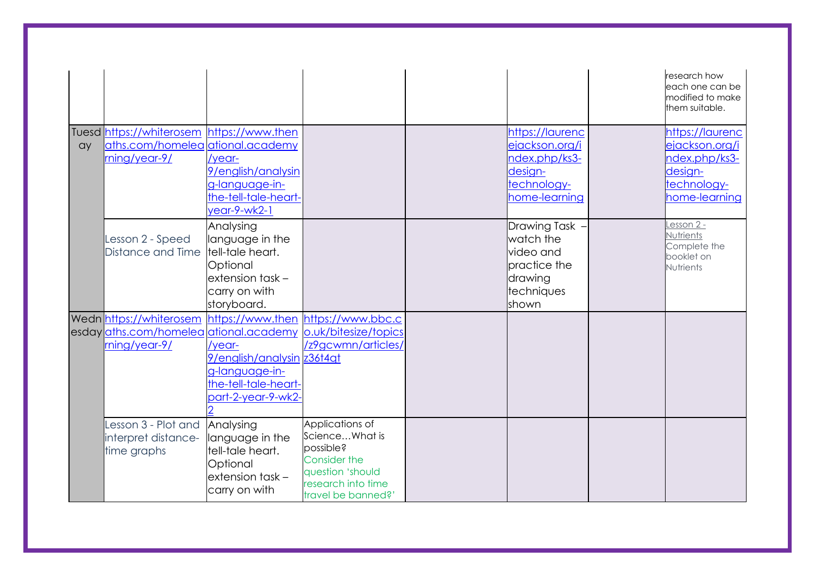|    |                                                                                                                      |                                                                                                                 |                                                                                                                                       |                                                                                               | research how<br>each one can be<br>modified to make<br>them suitable.                         |
|----|----------------------------------------------------------------------------------------------------------------------|-----------------------------------------------------------------------------------------------------------------|---------------------------------------------------------------------------------------------------------------------------------------|-----------------------------------------------------------------------------------------------|-----------------------------------------------------------------------------------------------|
| ay | Tuesd https://whiterosem https://www.then<br>aths.com/homelea ational.academy<br>ming/year-9/                        | /year-<br>9/english/analysin<br>g-language-in-<br>the-tell-tale-heart-<br>year-9-wk2-1                          |                                                                                                                                       | https://laurenc<br>ejackson.org/i<br>ndex.php/ks3-<br>design-<br>technology-<br>home-learning | https://laurenc<br>ejackson.org/i<br>ndex.php/ks3-<br>design-<br>technology-<br>home-learning |
|    | esson 2 - Speed<br>Distance and Time                                                                                 | Analysing<br>language in the<br>tell-tale heart.<br>Optional<br>extension task-<br>carry on with<br>storyboard. |                                                                                                                                       | Drawing Task -<br>watch the<br>lvideo and<br>practice the<br>drawing<br>techniques<br>shown   | esson 2 -<br><b>Nutrients</b><br>Complete the<br>booklet on<br><b>Nutrients</b>               |
|    | Wedn https://whiterosem https://www.then https://www.bbc.c<br>esday aths.com/homelea ational.academy<br>ming/year-9/ | /year-<br>9/english/analysin z36t4qt<br>g-language-in-<br>the-tell-tale-heart-<br>part-2-year-9-wk2-            | o.uk/bitesize/topics<br>/z9gcwmn/articles/                                                                                            |                                                                                               |                                                                                               |
|    | esson 3 - Plot and Analysing<br>interpret distance-<br>time graphs                                                   | language in the<br>tell-tale heart.<br>Optional<br>extension task-<br>carry on with                             | Applications of<br>ScienceWhat is<br>possible?<br><b>Consider the</b><br>question 'should<br>research into time<br>travel be banned?' |                                                                                               |                                                                                               |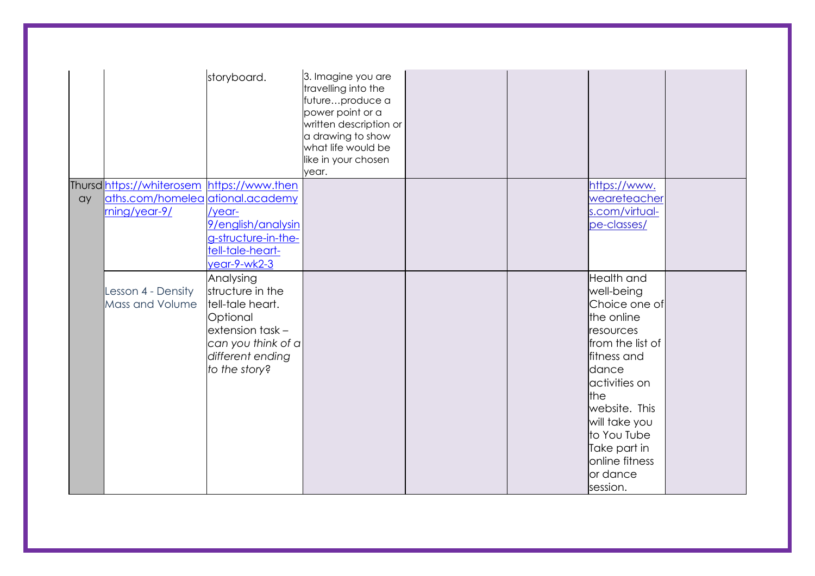|    |                                            | storyboard.         | 3. Imagine you are<br>travelling into the<br>futureproduce a<br>power point or a<br>written description or<br>a drawing to show<br>what life would be<br>like in your chosen<br>year. |  |                   |  |
|----|--------------------------------------------|---------------------|---------------------------------------------------------------------------------------------------------------------------------------------------------------------------------------|--|-------------------|--|
|    | Thursd https://whiterosem https://www.then |                     |                                                                                                                                                                                       |  | https://www.      |  |
| ay | aths.com/homelea ational.academy           |                     |                                                                                                                                                                                       |  | weareteacher      |  |
|    | ming/year-9/                               | /year-              |                                                                                                                                                                                       |  | s.com/virtual-    |  |
|    |                                            | 9/english/analysin  |                                                                                                                                                                                       |  | pe-classes/       |  |
|    |                                            | g-structure-in-the- |                                                                                                                                                                                       |  |                   |  |
|    |                                            | tell-tale-heart-    |                                                                                                                                                                                       |  |                   |  |
|    |                                            | year-9-wk2-3        |                                                                                                                                                                                       |  |                   |  |
|    |                                            | Analysing           |                                                                                                                                                                                       |  | <b>Health and</b> |  |
|    | Lesson 4 - Density                         | structure in the    |                                                                                                                                                                                       |  | well-being        |  |
|    | Mass and Volume                            | tell-tale heart.    |                                                                                                                                                                                       |  | Choice one of     |  |
|    |                                            | Optional            |                                                                                                                                                                                       |  | the online        |  |
|    |                                            | extension task-     |                                                                                                                                                                                       |  | resources         |  |
|    |                                            | can you think of a  |                                                                                                                                                                                       |  | from the list of  |  |
|    |                                            | different ending    |                                                                                                                                                                                       |  | fitness and       |  |
|    |                                            | to the story?       |                                                                                                                                                                                       |  | dance             |  |
|    |                                            |                     |                                                                                                                                                                                       |  | activities on     |  |
|    |                                            |                     |                                                                                                                                                                                       |  | <b>the</b>        |  |
|    |                                            |                     |                                                                                                                                                                                       |  | website. This     |  |
|    |                                            |                     |                                                                                                                                                                                       |  | will take you     |  |
|    |                                            |                     |                                                                                                                                                                                       |  | to You Tube       |  |
|    |                                            |                     |                                                                                                                                                                                       |  | Take part in      |  |
|    |                                            |                     |                                                                                                                                                                                       |  | online fitness    |  |
|    |                                            |                     |                                                                                                                                                                                       |  | or dance          |  |
|    |                                            |                     |                                                                                                                                                                                       |  | session.          |  |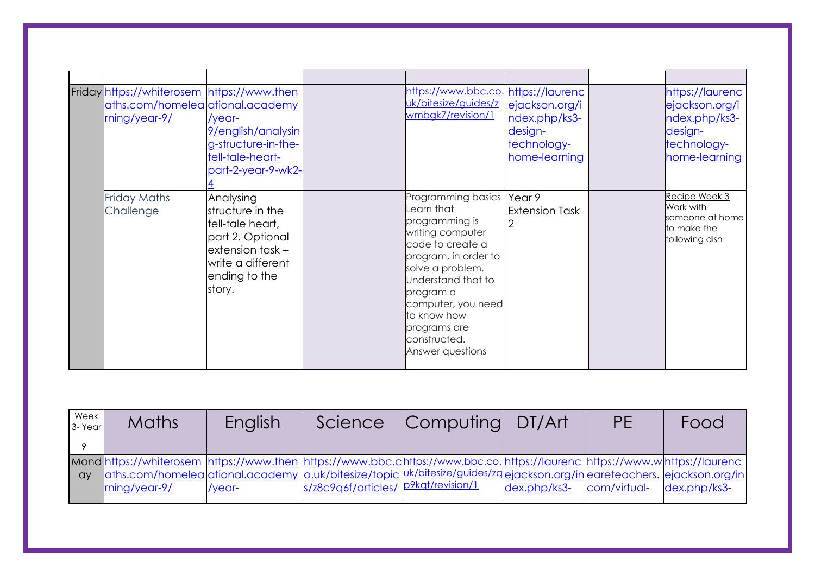| Friday https://whiterosem https://www.then<br>aths.com/homelea ational.academy<br>ming/year-9/ | /year-<br>9/english/analysin<br>g-structure-in-the-<br>tell-tale-heart-<br>part-2-year-9-wk2-                                                 | https://www.bbc.co.<br>uk/bitesize/guides/z<br>wmbgk7/revision/1                                                                                                                                                                                                   | https://laurenc<br>ejackson.org/i<br>ndex.php/ks3-<br>design-<br>technology-<br>home-learning | https://laurenc<br>ejackson.org/i<br>ndex.php/ks3-<br>design-<br>technology-<br>home-learning |
|------------------------------------------------------------------------------------------------|-----------------------------------------------------------------------------------------------------------------------------------------------|--------------------------------------------------------------------------------------------------------------------------------------------------------------------------------------------------------------------------------------------------------------------|-----------------------------------------------------------------------------------------------|-----------------------------------------------------------------------------------------------|
| <b>Friday Maths</b><br>Challenge                                                               | Analysing<br>structure in the<br>tell-tale heart,<br>part 2. Optional<br>$extension$ task $-$<br>write a different<br>ending to the<br>story. | Programming basics<br>Learn that<br>programming is<br>writing computer<br>code to create a<br>program, in order to<br>solve a problem.<br>Understand that to<br>program a<br>computer, you need<br>to know how<br>programs are<br>constructed.<br>Answer questions | Year <sub>9</sub><br><b>Extension Task</b>                                                    | Recipe Week 3-<br>Work with<br>someone at home<br>to make the<br>following dish               |

| Week<br>3-Year | <b>Maths</b>                                                                                                                                                                                                                                        | English | Science                              | Computing DT/Art |              | PF           | Food         |
|----------------|-----------------------------------------------------------------------------------------------------------------------------------------------------------------------------------------------------------------------------------------------------|---------|--------------------------------------|------------------|--------------|--------------|--------------|
| ay             | Mond https://whiterosem https://www.then https://www.bbc.chttps://www.bbc.co.https://laurenc https://www.whttps://laurenc<br>aths.com/homelea ational.academy o.uk/bitesize/topic uk/bitesize/guides/zaejackson.org/ineareteachers. ejackson.org/in |         |                                      |                  |              |              |              |
|                | $rning/year-9/$                                                                                                                                                                                                                                     | /year-  | s/z8c9q6f/articles/ p9kat/revision/1 |                  | dex.php/ks3- | com/virtual- | dex.php/ks3- |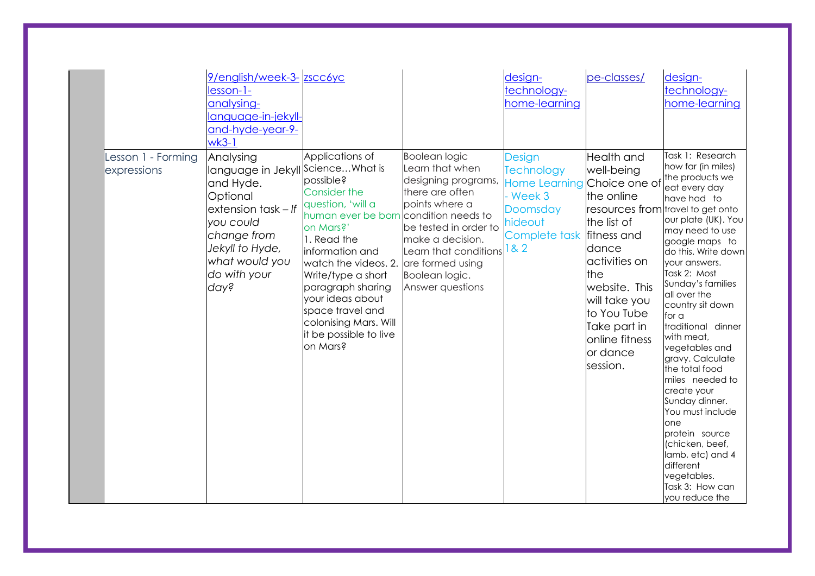|                                   | 9/english/week-3- zscc6yc<br>$lesson-1-$<br>analysing-<br>language-in-jekyll-<br>and-hyde-year-9-<br>$wk3-1$                                                                              |                                                                                                                                                                                                                                                                                                                                            |                                                                                                                                                                                                                             | design-<br>technology-<br>home-learning                                                                                          | pe-classes/                                                                                                                                                                                                                                   | design-<br>technology-<br>home-learning                                                                                                                                                                                                                                                                                                                                                                                                                                                                                                                                              |
|-----------------------------------|-------------------------------------------------------------------------------------------------------------------------------------------------------------------------------------------|--------------------------------------------------------------------------------------------------------------------------------------------------------------------------------------------------------------------------------------------------------------------------------------------------------------------------------------------|-----------------------------------------------------------------------------------------------------------------------------------------------------------------------------------------------------------------------------|----------------------------------------------------------------------------------------------------------------------------------|-----------------------------------------------------------------------------------------------------------------------------------------------------------------------------------------------------------------------------------------------|--------------------------------------------------------------------------------------------------------------------------------------------------------------------------------------------------------------------------------------------------------------------------------------------------------------------------------------------------------------------------------------------------------------------------------------------------------------------------------------------------------------------------------------------------------------------------------------|
| Lesson 1 - Forming<br>expressions | Analysing<br>language in Jekyll ScienceWhat is<br>and Hyde.<br>Optional<br>$extension task - If$<br>you could<br>change from<br>Jekyll to Hyde,<br>what would you<br>do with your<br>day? | Applications of<br>possible?<br><b>Consider the</b><br>question, 'will a<br>human ever be born condition needs to<br>on Mars?'<br>1. Read the<br>information and<br>watch the videos. 2.<br>Write/type a short<br>paragraph sharing<br>your ideas about<br>space travel and<br>colonising Mars. Will<br>it be possible to live<br>on Mars? | Boolean logic<br>earn that when<br>designing programs,<br>there are often<br>points where a<br>be tested in order to<br>make a decision.<br>Learn that conditions<br>are formed using<br>Boolean logic.<br>Answer questions | Design<br>Technology<br>Home Learning Choice one of<br>Week 3<br><b>Doomsday</b><br>hideout<br>Complete task fitness and<br>18.2 | <b>Health and</b><br>well-being<br>the online<br>resources from travel to get onto<br>the list of<br>dance<br>activities on<br>the<br>website. This<br>will take you<br>to You Tube<br>Take part in<br>online fitness<br>or dance<br>session. | Task 1: Research<br>how far (in miles)<br>the products we<br>eat every day<br>have had to<br>our plate (UK). You<br>may need to use<br>google maps to<br>do this. Write down<br>your answers.<br>Task 2: Most<br>Sunday's families<br>all over the<br>country sit down<br>for a<br>traditional dinner<br>with meat,<br>vegetables and<br>gravy. Calculate<br>the total food<br>miles needed to<br>create your<br>Sunday dinner.<br>You must include<br>one<br>protein source<br>(chicken, beef,<br>lamb, etc) and 4<br>different<br>vegetables.<br>Task 3: How can<br>you reduce the |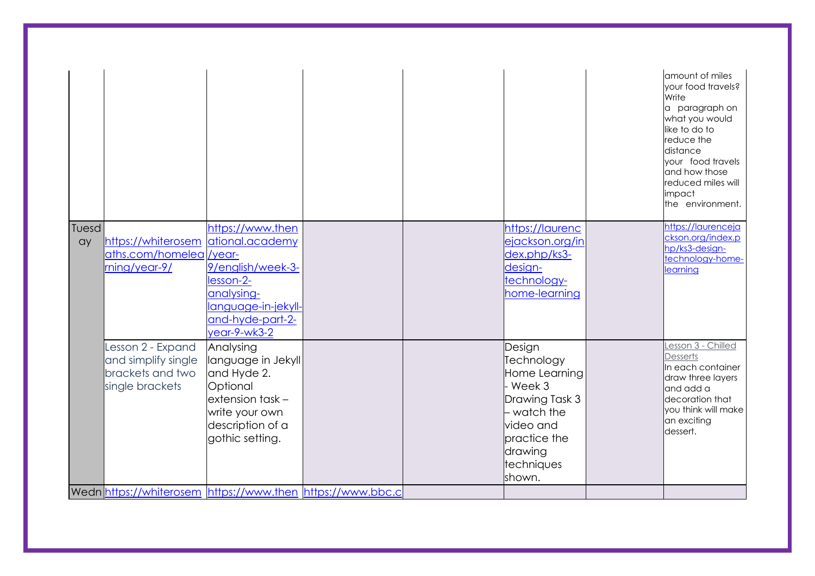|             |                                                                                 |                                                                                                                                        |  |                                                                                                                                                    | amount of miles<br>your food travels?<br>Write<br>a paragraph on<br>what you would<br>like to do to<br>reduce the<br>distance<br>your food travels<br>and how those<br>reduced miles will<br>impact<br>the environment. |
|-------------|---------------------------------------------------------------------------------|----------------------------------------------------------------------------------------------------------------------------------------|--|----------------------------------------------------------------------------------------------------------------------------------------------------|-------------------------------------------------------------------------------------------------------------------------------------------------------------------------------------------------------------------------|
| Tuesd<br>ay | https://whiterosem                                                              | https://www.then<br>ational.academy                                                                                                    |  | https://laurenc<br>ejackson.org/in                                                                                                                 | https://laurenceja<br>ckson.org/index.p                                                                                                                                                                                 |
|             | aths.com/homelea                                                                | /year-                                                                                                                                 |  | dex.php/ks3-                                                                                                                                       | hp/ks3-design-<br>technology-home-                                                                                                                                                                                      |
|             | rning/year-9/                                                                   | 9/english/week-3-                                                                                                                      |  | design-                                                                                                                                            | learning                                                                                                                                                                                                                |
|             |                                                                                 | lesson-2-                                                                                                                              |  | technology-<br>home-learning                                                                                                                       |                                                                                                                                                                                                                         |
|             |                                                                                 | analysing-<br>anguage-in-jekyll-                                                                                                       |  |                                                                                                                                                    |                                                                                                                                                                                                                         |
|             |                                                                                 | and-hyde-part-2-                                                                                                                       |  |                                                                                                                                                    |                                                                                                                                                                                                                         |
|             |                                                                                 | year-9-wk3-2                                                                                                                           |  |                                                                                                                                                    |                                                                                                                                                                                                                         |
|             | Lesson 2 - Expand<br>and simplify single<br>brackets and two<br>single brackets | Analysing<br>language in Jekyll<br>and Hyde 2.<br>Optional<br>extension task-<br>write your own<br>description of a<br>gothic setting. |  | Design<br>Technology<br>Home Learning<br>- Week 3<br>Drawing Task 3<br>- watch the<br>video and<br>practice the<br>drawing<br>techniques<br>shown. | esson 3 - Chilled<br><b>Desserts</b><br>In each container<br>draw three layers<br>and add a<br>decoration that<br>you think will make<br>an exciting<br>dessert.                                                        |
|             | Wedn https://whiterosem https://www.then https://www.bbc.c                      |                                                                                                                                        |  |                                                                                                                                                    |                                                                                                                                                                                                                         |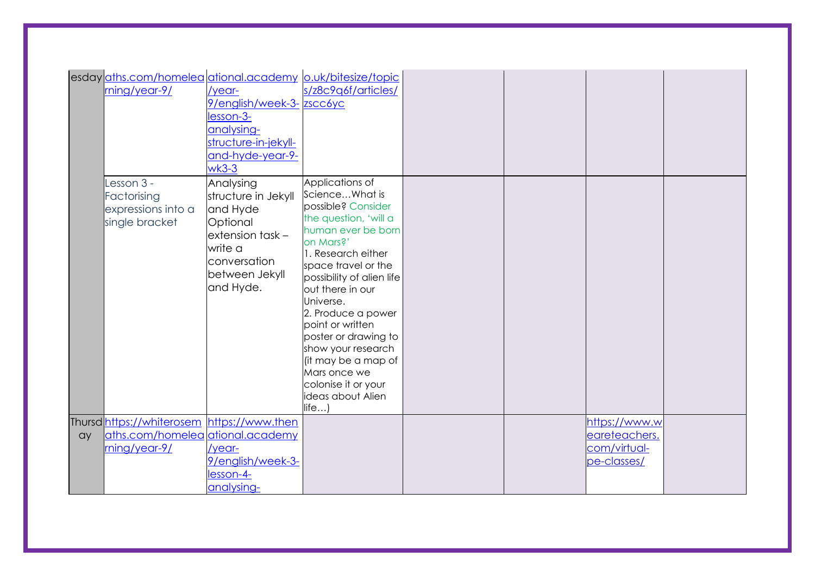|    | esday aths.com/homelea ational.academy o.uk/bitesize/topic<br>ming/year-9/ | /year-<br>9/english/week-3- zscc6yc<br>lesson-3-<br>analysing-<br>structure-in-jekyll-<br>and-hyde-year-9-<br>$wk3-3$                      | s/z8c9q6f/articles/                                                                                                                                                                                                                                                                                                                                                                                               |  |                             |  |
|----|----------------------------------------------------------------------------|--------------------------------------------------------------------------------------------------------------------------------------------|-------------------------------------------------------------------------------------------------------------------------------------------------------------------------------------------------------------------------------------------------------------------------------------------------------------------------------------------------------------------------------------------------------------------|--|-----------------------------|--|
|    | esson 3 -<br>Factorising<br>expressions into a<br>single bracket           | Analysing<br>structure in Jekyll<br>and Hyde<br>Optional<br>$extension$ task $-$<br>write a<br>conversation<br>between Jekyll<br>and Hyde. | Applications of<br>ScienceWhat is<br>possible? Consider<br>the question, 'will a<br>human ever be born<br>on Mars?'<br>1. Research either<br>space travel or the<br>possibility of alien life<br>out there in our<br>Universe.<br>2. Produce a power<br>point or written<br>poster or drawing to<br>show your research<br>(it may be a map of<br>Mars once we<br>colonise it or your<br>ideas about Alien<br>life |  |                             |  |
|    | Thursd https://whiterosem https://www.then                                 |                                                                                                                                            |                                                                                                                                                                                                                                                                                                                                                                                                                   |  | https://www.w               |  |
| ay | aths.com/homelea ational.academy                                           |                                                                                                                                            |                                                                                                                                                                                                                                                                                                                                                                                                                   |  | eareteachers.               |  |
|    | ming/year-9/                                                               | /year-<br>9/english/week-3-<br>lesson-4-<br>analysing-                                                                                     |                                                                                                                                                                                                                                                                                                                                                                                                                   |  | com/virtual-<br>pe-classes/ |  |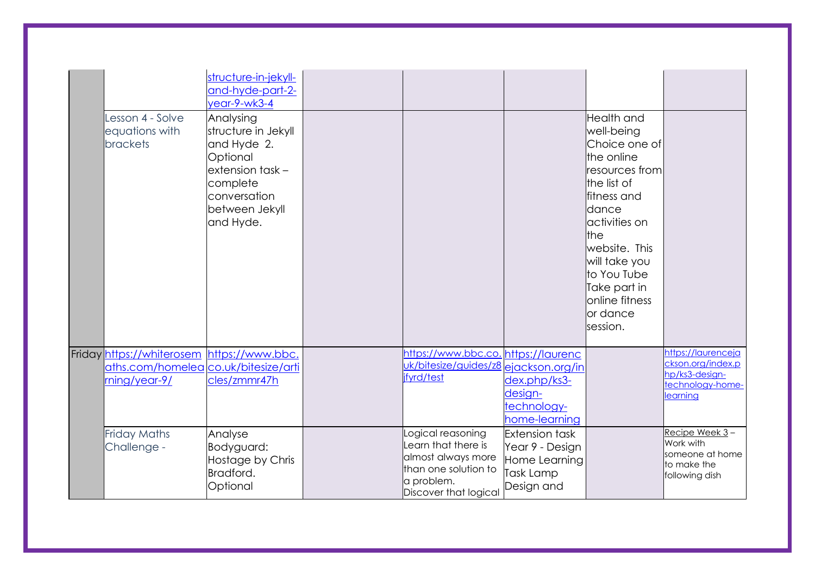|                                                                                                    | structure-in-jekyll-<br>and-hyde-part-2-<br>year-9-wk3-4                                                                                    |                                                                                                                               |                                                                                      |                                                                                                                                                                                                                                                                |                                                                                           |
|----------------------------------------------------------------------------------------------------|---------------------------------------------------------------------------------------------------------------------------------------------|-------------------------------------------------------------------------------------------------------------------------------|--------------------------------------------------------------------------------------|----------------------------------------------------------------------------------------------------------------------------------------------------------------------------------------------------------------------------------------------------------------|-------------------------------------------------------------------------------------------|
| esson 4 - Solve<br>equations with<br><b>brackets</b>                                               | Analysing<br>structure in Jekyll<br>and Hyde 2.<br>Optional<br>lextension task –<br>complete<br>conversation<br>between Jekyll<br>and Hyde. |                                                                                                                               |                                                                                      | Health and<br>well-being<br>Choice one of<br>the online<br>resources from<br>the list of<br>lfitness and<br>ldance<br>lactivities on<br>lthe<br>website. This<br>will take you<br>to You Tube<br>Take part in<br><b>Online</b> fitness<br>or dance<br>session. |                                                                                           |
| Friday https://whiterosem https://www.bbc.<br>aths.com/homelea co.uk/bitesize/arti<br>ming/year-9/ | cles/zmmr47h                                                                                                                                | https://www.bbc.co. https://laurenc<br>uk/bitesize/guides/z8<br><i>ifyrd/test</i>                                             | ejackson.org/in<br>dex.php/ks3-<br>design-<br>technology-<br>home-learning           |                                                                                                                                                                                                                                                                | https://laurenceja<br>ckson.org/index.p<br>hp/ks3-design-<br>technology-home-<br>learning |
| <b>Friday Maths</b><br>Challenge -                                                                 | Analyse<br>Bodyguard:<br>Hostage by Chris<br>Bradford.<br>Optional                                                                          | Logical reasoning<br>Learn that there is<br>almost always more<br>than one solution to<br>a problem.<br>Discover that logical | <b>Extension task</b><br>Year 9 - Design<br>Home Learning<br>Task Lamp<br>Design and |                                                                                                                                                                                                                                                                | Recipe Week 3-<br>Work with<br>someone at home<br>to make the<br>following dish           |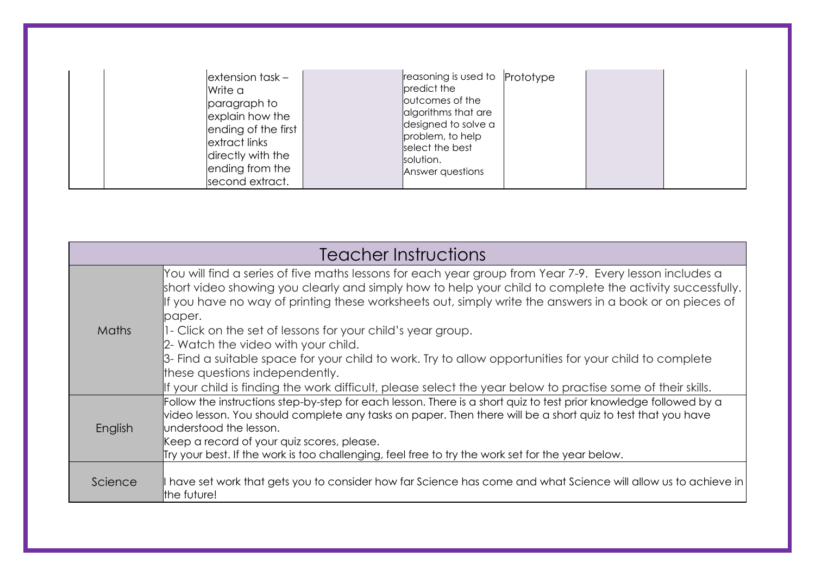| $extension$ task $-$<br>Write a<br>paragraph to<br>explain how the<br>ending of the first<br>extract links<br>directly with the<br>ending from the<br>second extract. | reasoning is used to Prototype<br>predict the<br>outcomes of the<br>algorithms that are<br>designed to solve a<br>problem, to help<br>select the best<br>solution.<br>Answer questions |  |
|-----------------------------------------------------------------------------------------------------------------------------------------------------------------------|----------------------------------------------------------------------------------------------------------------------------------------------------------------------------------------|--|
|-----------------------------------------------------------------------------------------------------------------------------------------------------------------------|----------------------------------------------------------------------------------------------------------------------------------------------------------------------------------------|--|

|              | <b>Teacher Instructions</b>                                                                                                                                                                                                                                                                                                                                                                                                                                                                                                                                                                |
|--------------|--------------------------------------------------------------------------------------------------------------------------------------------------------------------------------------------------------------------------------------------------------------------------------------------------------------------------------------------------------------------------------------------------------------------------------------------------------------------------------------------------------------------------------------------------------------------------------------------|
| <b>Maths</b> | You will find a series of five maths lessons for each year group from Year 7-9. Every lesson includes a<br>short video showing you clearly and simply how to help your child to complete the activity successfully.<br>If you have no way of printing these worksheets out, simply write the answers in a book or on pieces of<br>paper.<br>1- Click on the set of lessons for your child's year group.<br>2- Watch the video with your child.<br>3- Find a suitable space for your child to work. Try to allow opportunities for your child to complete<br>these questions independently. |
| English      | If your child is finding the work difficult, please select the year below to practise some of their skills.<br>Follow the instructions step-by-step for each lesson. There is a short quiz to test prior knowledge followed by a<br>video lesson. You should complete any tasks on paper. Then there will be a short quiz to test that you have<br>understood the lesson.<br>Keep a record of your quiz scores, please.<br>Try your best. If the work is too challenging, feel free to try the work set for the year below.                                                                |
| Science      | l have set work that gets you to consider how far Science has come and what Science will allow us to achieve in<br>the future!                                                                                                                                                                                                                                                                                                                                                                                                                                                             |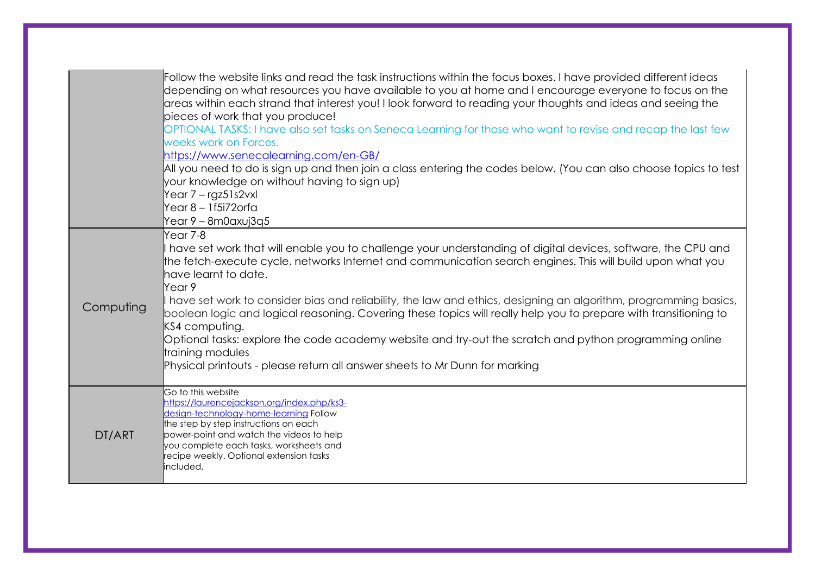|           | Follow the website links and read the task instructions within the focus boxes. I have provided different ideas<br>depending on what resources you have available to you at home and I encourage everyone to focus on the<br>areas within each strand that interest you! I look forward to reading your thoughts and ideas and seeing the<br>pieces of work that you produce!<br>OPTIONAL TASKS: I have also set tasks on Seneca Learning for those who want to revise and recap the last few<br>weeks work on Forces.<br>https://www.senecalearning.com/en-GB/<br>$\!$ All you need to do is sign up and then join a class entering the codes below. (You can also choose topics to test<br>your knowledge on without having to sign up)<br>Year $7 -$ rgz51s2vxl<br>Year 8 – 1f5i72orfa<br>Year 9 - 8m0axuj3q5 |
|-----------|------------------------------------------------------------------------------------------------------------------------------------------------------------------------------------------------------------------------------------------------------------------------------------------------------------------------------------------------------------------------------------------------------------------------------------------------------------------------------------------------------------------------------------------------------------------------------------------------------------------------------------------------------------------------------------------------------------------------------------------------------------------------------------------------------------------|
| Computing | Year 7-8<br>have set work that will enable you to challenge your understanding of digital devices, software, the CPU and<br>the fetch-execute cycle, networks Internet and communication search engines. This will build upon what you<br>lhave learnt to date.<br>Year 9<br>I have set work to consider bias and reliability, the law and ethics, designing an algorithm, programming basics,<br>boolean logic and logical reasoning. Covering these topics will really help you to prepare with transitioning to<br>KS4 computing.<br>Optional tasks: explore the code academy website and try-out the scratch and python programming online<br>training modules<br>Physical printouts - please return all answer sheets to Mr Dunn for marking                                                                |
| DT/ART    | Go to this website<br>https://laurencejackson.org/index.php/ks3-<br>design-technology-home-learning Follow<br>the step by step instructions on each<br>power-point and watch the videos to help<br>you complete each tasks, worksheets and<br>recipe weekly. Optional extension tasks<br>included.                                                                                                                                                                                                                                                                                                                                                                                                                                                                                                               |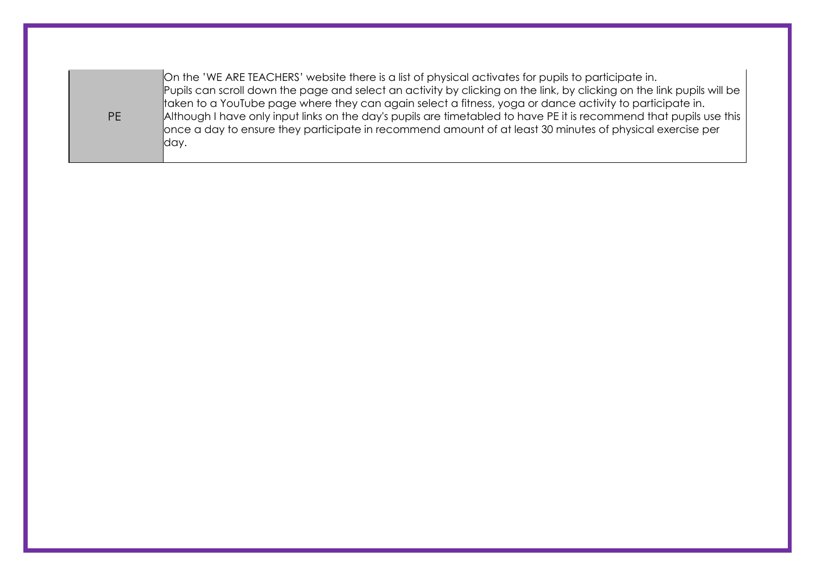PE

On the 'WE ARE TEACHERS' website there is a list of physical activates for pupils to participate in. Pupils can scroll down the page and select an activity by clicking on the link, by clicking on the link pupils will be taken to a YouTube page where they can again select a fitness, yoga or dance activity to participate in. Although I have only input links on the day's pupils are timetabled to have PE it is recommend that pupils use this once a day to ensure they participate in recommend amount of at least 30 minutes of physical exercise per day.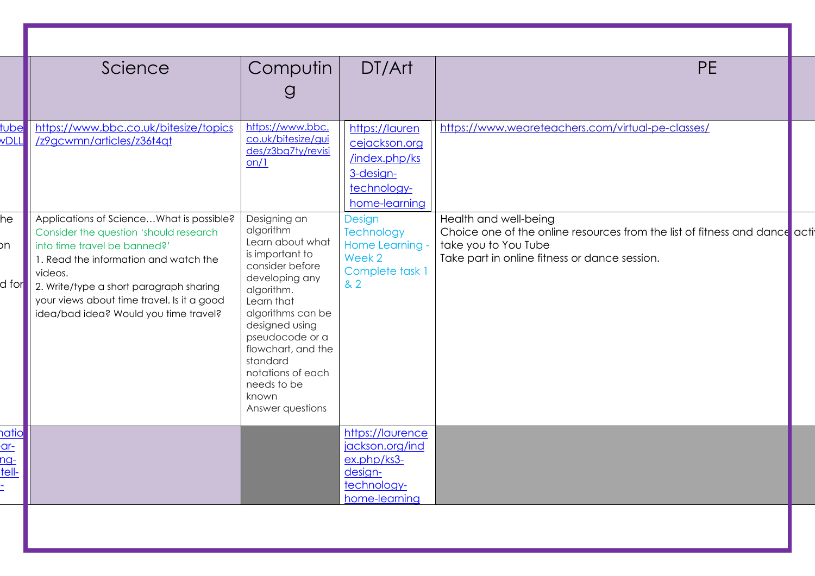|                           | Science                                                                                                                                                                                                                                                                                                                                | Computin  <br>$\mathcal{G}$                                                                                                                                                                                                                                                                    | DT/Art                                                                                        | <b>PE</b>                                                                                                                                                                      |  |
|---------------------------|----------------------------------------------------------------------------------------------------------------------------------------------------------------------------------------------------------------------------------------------------------------------------------------------------------------------------------------|------------------------------------------------------------------------------------------------------------------------------------------------------------------------------------------------------------------------------------------------------------------------------------------------|-----------------------------------------------------------------------------------------------|--------------------------------------------------------------------------------------------------------------------------------------------------------------------------------|--|
| <mark>tube</mark><br>vDLL | https://www.bbc.co.uk/bitesize/topics<br>/z9gcwmn/articles/z36t4qt                                                                                                                                                                                                                                                                     | https://www.bbc.<br>co.uk/bitesize/gui<br>des/z3bq7ty/revisi<br>on/1                                                                                                                                                                                                                           | https://lauren<br>cejackson.org<br>/index.php/ks<br>3-design-<br>technology-<br>home-learning | https://www.weareteachers.com/virtual-pe-classes/                                                                                                                              |  |
| he<br>on                  | Applications of ScienceWhat is possible?<br>Consider the question 'should research<br>into time travel be banned?'<br>I. Read the information and watch the<br>videos.<br>$\mathsf{d}$ for $\mathsf{r}$ 2. Write/type a short paragraph sharing<br>your views about time travel. Is it a good<br>idea/bad idea? Would you time travel? | Designing an<br>algorithm<br>Learn about what<br>is important to<br>consider before<br>developing any<br>algorithm.<br>Learn that<br>algorithms can be<br>designed using<br>pseudocode or a<br>flowchart, and the<br>standard<br>notations of each<br>needs to be<br>known<br>Answer questions | Design<br>Technology<br>Home Learning -<br>Week 2<br>Complete task 1<br>82                    | Health and well-being<br>Choice one of the online resources from the list of fitness and dance active<br>take you to You Tube<br>Take part in online fitness or dance session. |  |
| hatio<br><u>ar-</u>       |                                                                                                                                                                                                                                                                                                                                        |                                                                                                                                                                                                                                                                                                | https://laurence<br>jackson.org/ind<br>ex.php/ks3-<br>design-<br>technology-<br>home-learning |                                                                                                                                                                                |  |
|                           |                                                                                                                                                                                                                                                                                                                                        |                                                                                                                                                                                                                                                                                                |                                                                                               |                                                                                                                                                                                |  |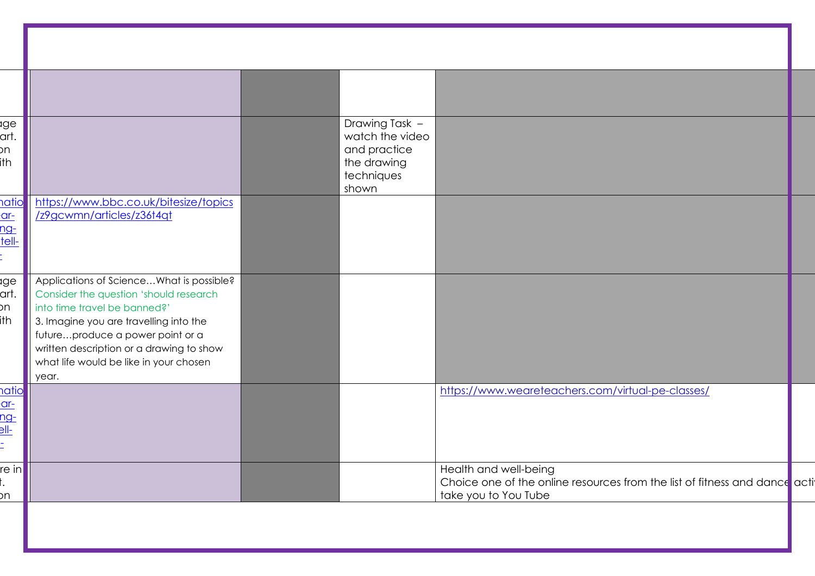| ıge<br>art.<br>DП<br>ith              |                                                                                                                                                                                                                                                                                                 | Drawing Task -<br>watch the video<br>and practice<br>the drawing<br>techniques<br>shown |                                                                                                                               |  |
|---------------------------------------|-------------------------------------------------------------------------------------------------------------------------------------------------------------------------------------------------------------------------------------------------------------------------------------------------|-----------------------------------------------------------------------------------------|-------------------------------------------------------------------------------------------------------------------------------|--|
| hatio<br>$or-$<br><u>ng-</u><br>tell- | https://www.bbc.co.uk/bitesize/topics<br>z9gcwmn/articles/z36t4qt                                                                                                                                                                                                                               |                                                                                         |                                                                                                                               |  |
| $\mathfrak{g}_e$<br>art.<br>bn<br>ith | Applications of ScienceWhat is possible?<br>Consider the question 'should research<br>into time travel be banned?'<br>3. Imagine you are travelling into the<br>futureproduce a power point or a<br>written description or a drawing to show<br>what life would be like in your chosen<br>year. |                                                                                         |                                                                                                                               |  |
| <u>natio</u>                          |                                                                                                                                                                                                                                                                                                 |                                                                                         | https://www.weareteachers.com/virtual-pe-classes/                                                                             |  |
| re in<br>on                           |                                                                                                                                                                                                                                                                                                 |                                                                                         | Health and well-being<br>Choice one of the online resources from the list of fitness and dance active<br>take you to You Tube |  |
|                                       |                                                                                                                                                                                                                                                                                                 |                                                                                         |                                                                                                                               |  |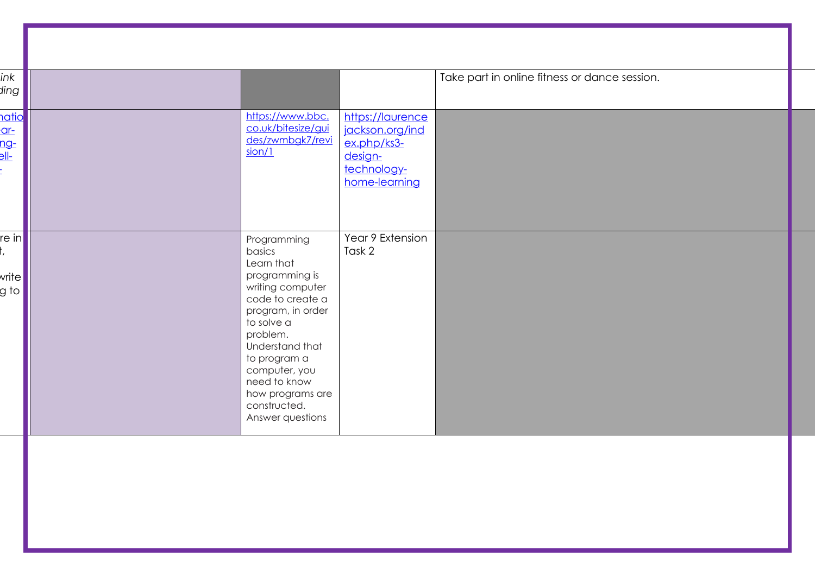| ink<br>$\parallel$ phik                    |                                                                                                                                                                                                                                                                          |                                                                                               | Take part in online fitness or dance session. |  |
|--------------------------------------------|--------------------------------------------------------------------------------------------------------------------------------------------------------------------------------------------------------------------------------------------------------------------------|-----------------------------------------------------------------------------------------------|-----------------------------------------------|--|
|                                            | https://www.bbc.<br>co.uk/bitesize/gui<br>des/zwmbgk7/revi<br>sion/1                                                                                                                                                                                                     | https://laurence<br>jackson.org/ind<br>ex.php/ks3-<br>design-<br>technology-<br>home-learning |                                               |  |
| re in $\ $<br>write <mark> </mark><br>g to | Programming<br>basics<br>Learn that<br>programming is<br>writing computer<br>code to create a<br>program, in order<br>to solve a<br>problem.<br>Understand that<br>to program a<br>computer, you<br>need to know<br>how programs are<br>constructed.<br>Answer questions | Year 9 Extension<br>Task 2                                                                    |                                               |  |
|                                            |                                                                                                                                                                                                                                                                          |                                                                                               |                                               |  |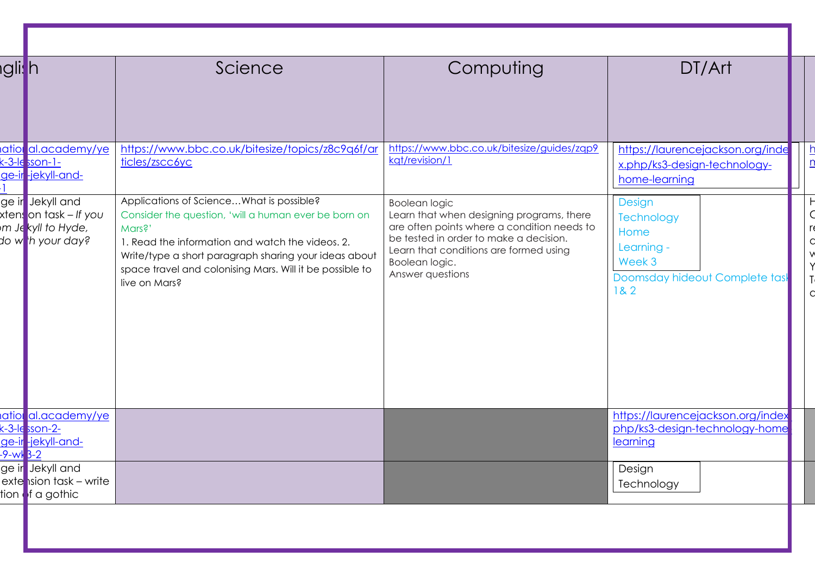| <b>gli</b> h |                                                                                                                                         | Science                                                                                                                                                                                                                                                                                              | Computing                                                                                                                                                                                                                           | DT/Art                                                                                        |  |
|--------------|-----------------------------------------------------------------------------------------------------------------------------------------|------------------------------------------------------------------------------------------------------------------------------------------------------------------------------------------------------------------------------------------------------------------------------------------------------|-------------------------------------------------------------------------------------------------------------------------------------------------------------------------------------------------------------------------------------|-----------------------------------------------------------------------------------------------|--|
|              | <u>ational.academy/ye</u><br><u>sande and details</u><br>state soon-1-<br>ge-ir -jekyll-and-                                            | https://www.bbc.co.uk/bitesize/topics/z8c9q6f/ar<br>ticles/zscc6yc                                                                                                                                                                                                                                   | https://www.bbc.co.uk/bitesize/guides/zqp9<br>kgt/revision/1                                                                                                                                                                        | https://laurencejackson.org/inde<br>x.php/ks3-design-technology-<br>home-learning             |  |
|              | ge ir Jekyll and<br>xten: <mark>on task – If you</mark><br><b>i</b> m Je <mark>kyll to Hyde,</mark><br>do w <mark>i</mark> 'h your day? | Applications of ScienceWhat is possible?<br>Consider the question, 'will a human ever be born on<br>Mars?'<br>1. Read the information and watch the videos. 2.<br>Write/type a short paragraph sharing your ideas about<br>space travel and colonising Mars. Will it be possible to<br>live on Mars? | Boolean logic<br>Learn that when designing programs, there<br>are often points where a condition needs to<br>be tested in order to make a decision.<br>Learn that conditions are formed using<br>Boolean logic.<br>Answer questions | Design<br>Technology<br>Home<br>Learning -<br>Week 3<br>Doomsday hideout Complete tas<br>18.2 |  |
|              | <u>iatiol al.academy/ye</u><br><u>&lt;-3-le sson-2-</u><br>ge-ir -jekyll-and-                                                           |                                                                                                                                                                                                                                                                                                      |                                                                                                                                                                                                                                     | https://laurencejackson.org/index<br>php/ks3-design-technology-home<br>learning               |  |
|              | ge ir Jekyll and<br>$ext{e}$ sion task – write<br>tion of a gothic                                                                      |                                                                                                                                                                                                                                                                                                      |                                                                                                                                                                                                                                     | Design<br>Technology                                                                          |  |
|              |                                                                                                                                         |                                                                                                                                                                                                                                                                                                      |                                                                                                                                                                                                                                     |                                                                                               |  |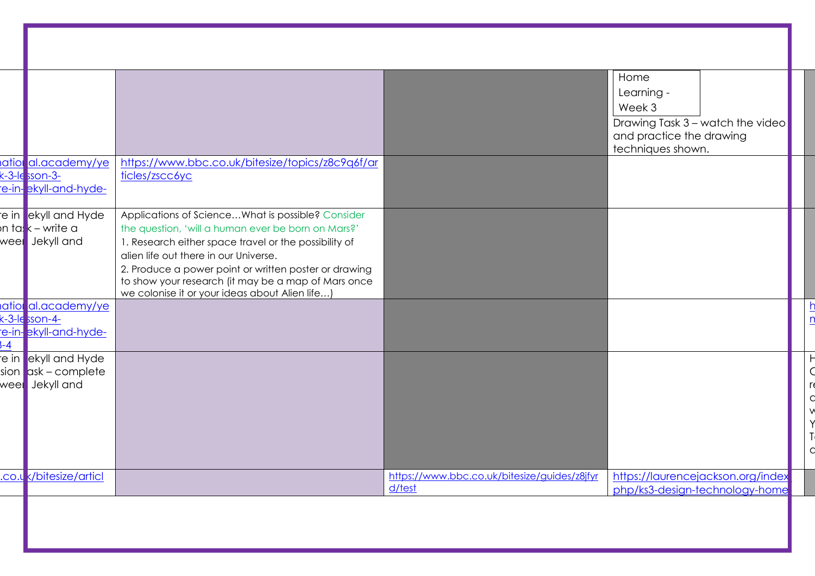|      |                                                                                         |                                                                                                                                                                                                                                                                                                                                                                             |                                                           | Home<br>Learning -<br>Week 3<br>Drawing Task 3 - watch the video<br>and practice the drawing<br>techniques shown. |  |
|------|-----------------------------------------------------------------------------------------|-----------------------------------------------------------------------------------------------------------------------------------------------------------------------------------------------------------------------------------------------------------------------------------------------------------------------------------------------------------------------------|-----------------------------------------------------------|-------------------------------------------------------------------------------------------------------------------|--|
|      | <u>ational.academy/ye</u><br><u>&lt;-3-lesson-3-</u><br>re-in-ekyll-and-hyde-           | https://www.bbc.co.uk/bitesize/topics/z8c9q6f/ar<br>ticles/zscc6yc                                                                                                                                                                                                                                                                                                          |                                                           |                                                                                                                   |  |
|      | e in ekyll and Hyde<br>n ta: <mark>k – write a</mark><br>weel <mark>l</mark> Jekyll and | Applications of ScienceWhat is possible? Consider<br>the question, 'will a human ever be born on Mars?'<br>1. Research either space travel or the possibility of<br>alien life out there in our Universe.<br>2. Produce a power point or written poster or drawing<br>to show your research (it may be a map of Mars once<br>we colonise it or your ideas about Alien life) |                                                           |                                                                                                                   |  |
| $-4$ | <u>ational.academy/ye</u><br><u>c-3-le <mark>sson-4-</mark></u><br>e-in-ekyll-and-hyde- |                                                                                                                                                                                                                                                                                                                                                                             |                                                           |                                                                                                                   |  |
|      | e in ekyll and Hyde<br>$sion$ ask – complete<br>weel Jekyll and                         |                                                                                                                                                                                                                                                                                                                                                                             |                                                           |                                                                                                                   |  |
|      | .co.uk/bitesize/articl                                                                  |                                                                                                                                                                                                                                                                                                                                                                             | https://www.bbc.co.uk/bitesize/guides/z8jfyr<br>$d$ /test | https://laurencejackson.org/index<br>php/ks3-design-technology-home                                               |  |
|      |                                                                                         |                                                                                                                                                                                                                                                                                                                                                                             |                                                           |                                                                                                                   |  |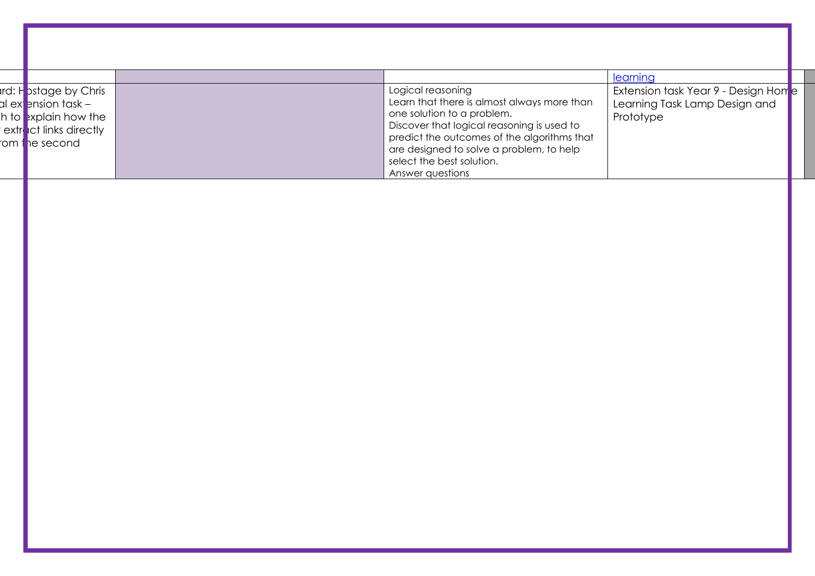|                                                                                                                                                        |  |                                                                                                                                                                                                                                                                                          |  | learning                                                                          |  |  |
|--------------------------------------------------------------------------------------------------------------------------------------------------------|--|------------------------------------------------------------------------------------------------------------------------------------------------------------------------------------------------------------------------------------------------------------------------------------------|--|-----------------------------------------------------------------------------------|--|--|
| ırd: H <mark>ostage by Chris I</mark><br>al ex <mark>i</mark> ension task –<br>h to <b>Explain how the</b><br>extract links directly<br>rom the second |  | Logical reasoning<br>Learn that there is almost always more than<br>one solution to a problem.<br>Discover that logical reasoning is used to<br>predict the outcomes of the algorithms that<br>are designed to solve a problem, to help<br>select the best solution.<br>Answer questions |  | Extension task Year 9 - Design Home<br>Learning Task Lamp Design and<br>Prototype |  |  |
|                                                                                                                                                        |  |                                                                                                                                                                                                                                                                                          |  |                                                                                   |  |  |
|                                                                                                                                                        |  |                                                                                                                                                                                                                                                                                          |  |                                                                                   |  |  |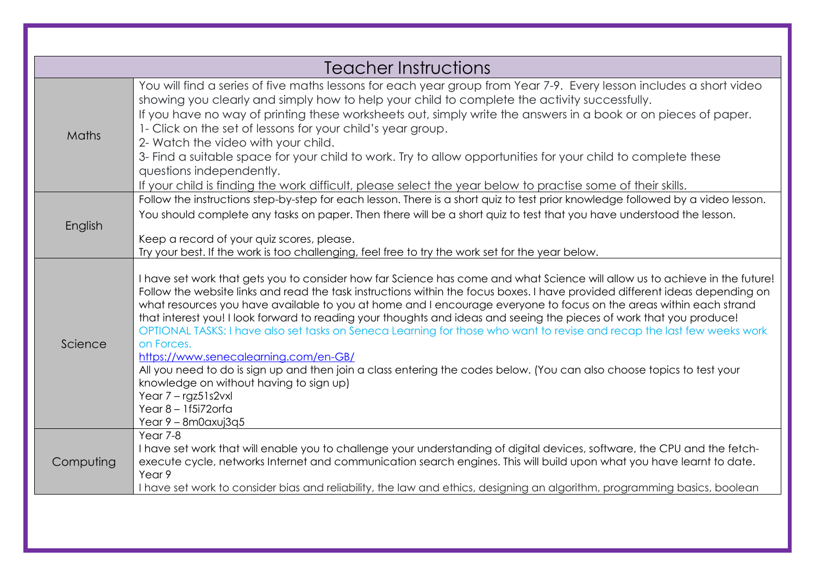| Teacher Instructions |                                                                                                                                                                                                                                                                                                                                                                                                                                                                                                                                                                                                                                                                                                                                                                                                                                                                                                                                                       |  |  |  |
|----------------------|-------------------------------------------------------------------------------------------------------------------------------------------------------------------------------------------------------------------------------------------------------------------------------------------------------------------------------------------------------------------------------------------------------------------------------------------------------------------------------------------------------------------------------------------------------------------------------------------------------------------------------------------------------------------------------------------------------------------------------------------------------------------------------------------------------------------------------------------------------------------------------------------------------------------------------------------------------|--|--|--|
| Maths                | You will find a series of five maths lessons for each year group from Year 7-9. Every lesson includes a short video<br>showing you clearly and simply how to help your child to complete the activity successfully.<br>If you have no way of printing these worksheets out, simply write the answers in a book or on pieces of paper.<br>1- Click on the set of lessons for your child's year group.<br>2- Watch the video with your child.<br>3- Find a suitable space for your child to work. Try to allow opportunities for your child to complete these<br>questions independently.<br>If your child is finding the work difficult, please select the year below to practise some of their skills.                                                                                                                                                                                                                                                |  |  |  |
| English              | Follow the instructions step-by-step for each lesson. There is a short quiz to test prior knowledge followed by a video lesson.<br>You should complete any tasks on paper. Then there will be a short quiz to test that you have understood the lesson.<br>Keep a record of your quiz scores, please.<br>Try your best. If the work is too challenging, feel free to try the work set for the year below.                                                                                                                                                                                                                                                                                                                                                                                                                                                                                                                                             |  |  |  |
| Science              | I have set work that gets you to consider how far Science has come and what Science will allow us to achieve in the future!<br>Follow the website links and read the task instructions within the focus boxes. I have provided different ideas depending on<br>what resources you have available to you at home and I encourage everyone to focus on the areas within each strand<br>that interest you! I look forward to reading your thoughts and ideas and seeing the pieces of work that you produce!<br>OPTIONAL TASKS: I have also set tasks on Seneca Learning for those who want to revise and recap the last few weeks work<br>on Forces.<br>https://www.senecalearning.com/en-GB/<br>All you need to do is sign up and then join a class entering the codes below. (You can also choose topics to test your<br>knowledge on without having to sign up)<br>Year $7 - \text{rgz51s2}$ vxl<br>Year $8 - 1$ f5i72orfa<br>Year $9 - 8$ m0axuj3q5 |  |  |  |
| Computing            | Year 7-8<br>I have set work that will enable you to challenge your understanding of digital devices, software, the CPU and the fetch-<br>execute cycle, networks Internet and communication search engines. This will build upon what you have learnt to date.<br>Year 9<br>I have set work to consider bias and reliability, the law and ethics, designing an algorithm, programming basics, boolean                                                                                                                                                                                                                                                                                                                                                                                                                                                                                                                                                 |  |  |  |